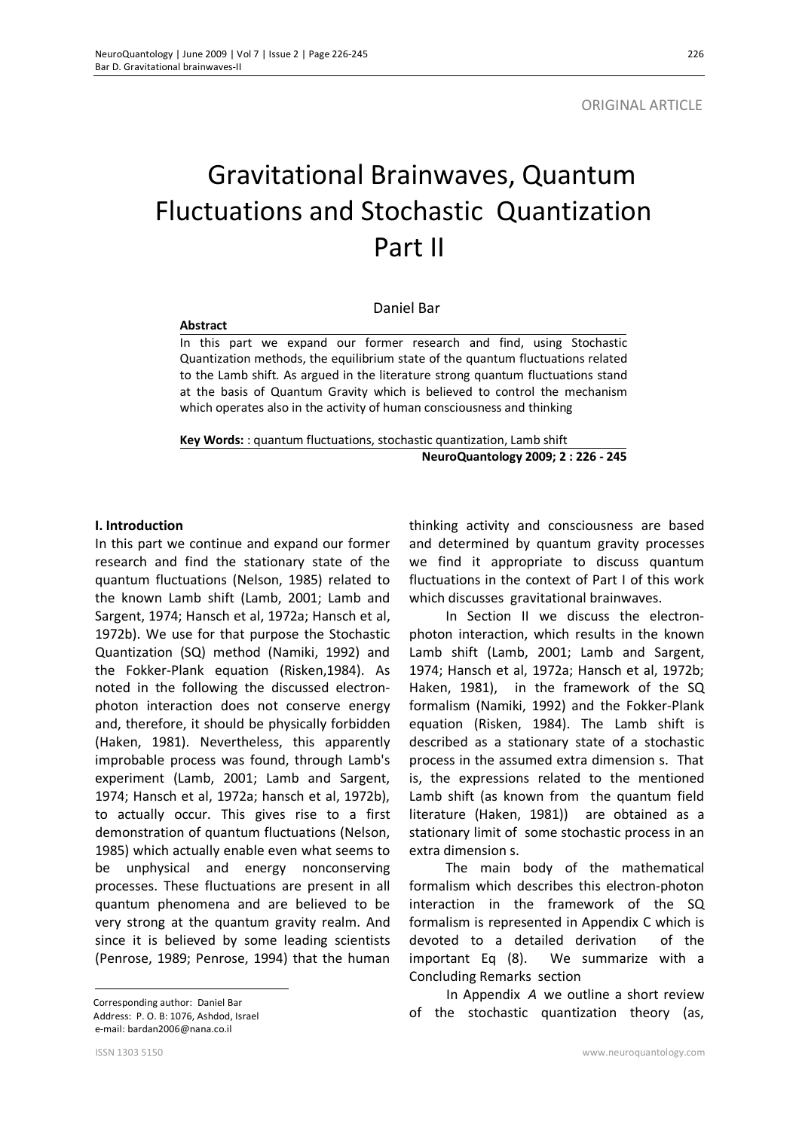# Gravitational Brainwaves, Quantum Fluctuations and Stochastic Quantization Part II

## Daniel Bar

#### **Abstract**

In this part we expand our former research and find, using Stochastic Quantization methods, the equilibrium state of the quantum fluctuations related to the Lamb shift. As argued in the literature strong quantum fluctuations stand at the basis of Quantum Gravity which is believed to control the mechanism which operates also in the activity of human consciousness and thinking

**Key Words:** : quantum fluctuations, stochastic quantization, Lamb shift **NeuroQuantology 2009; 2 : 226 - 245**

## **I.** Introduction

In this part we continue and expand our former research and find the stationary state of the quantum fluctuations (Nelson, 1985) related to the known Lamb shift (Lamb, 2001; Lamb and Sargent, 1974; Hansch et al, 1972a; Hansch et al, 1972b). We use for that purpose the Stochastic Quantization (SQ) method (Namiki, 1992) and the Fokker-Plank equation (Risken,1984). As noted in the following the discussed electronphoton interaction does not conserve energy and, therefore, it should be physically forbidden (Haken, 1981). Nevertheless, this apparently improbable process was found, through Lamb's experiment (Lamb, 2001; Lamb and Sargent, 1974; Hansch et al, 1972a; hansch et al, 1972b), to actually occur. This gives rise to a first demonstration of quantum fluctuations (Nelson, 1985) which actually enable even what seems to be unphysical and energy nonconserving processes. These fluctuations are present in all quantum phenomena and are believed to be very strong at the quantum gravity realm. And since it is believed by some leading scientists (Penrose, 1989; Penrose, 1994) that the human

 Corresponding author: Daniel Bar Address: P. O. B: 1076, Ashdod, Israel e-mail: bardan2006@nana.co.il

thinking activity and consciousness are based and determined by quantum gravity processes we find it appropriate to discuss quantum fluctuations in the context of Part I of this work which discusses gravitational brainwaves.

In Section II we discuss the electronphoton interaction, which results in the known Lamb shift (Lamb, 2001; Lamb and Sargent, 1974; Hansch et al, 1972a; Hansch et al, 1972b; Haken, 1981), in the framework of the SQ formalism (Namiki, 1992) and the Fokker-Plank equation (Risken, 1984). The Lamb shift is described as a stationary state of a stochastic process in the assumed extra dimension s. That is, the expressions related to the mentioned Lamb shift (as known from the quantum field literature (Haken, 1981)) are obtained as a stationary limit of some stochastic process in an extra dimension s.

The main body of the mathematical formalism which describes this electron-photon interaction in the framework of the SQ formalism is represented in Appendix C which is devoted to a detailed derivation of the important Eq (8). We summarize with a Concluding Remarks section

In Appendix *A* we outline a short review of the stochastic quantization theory (as,

 $\overline{a}$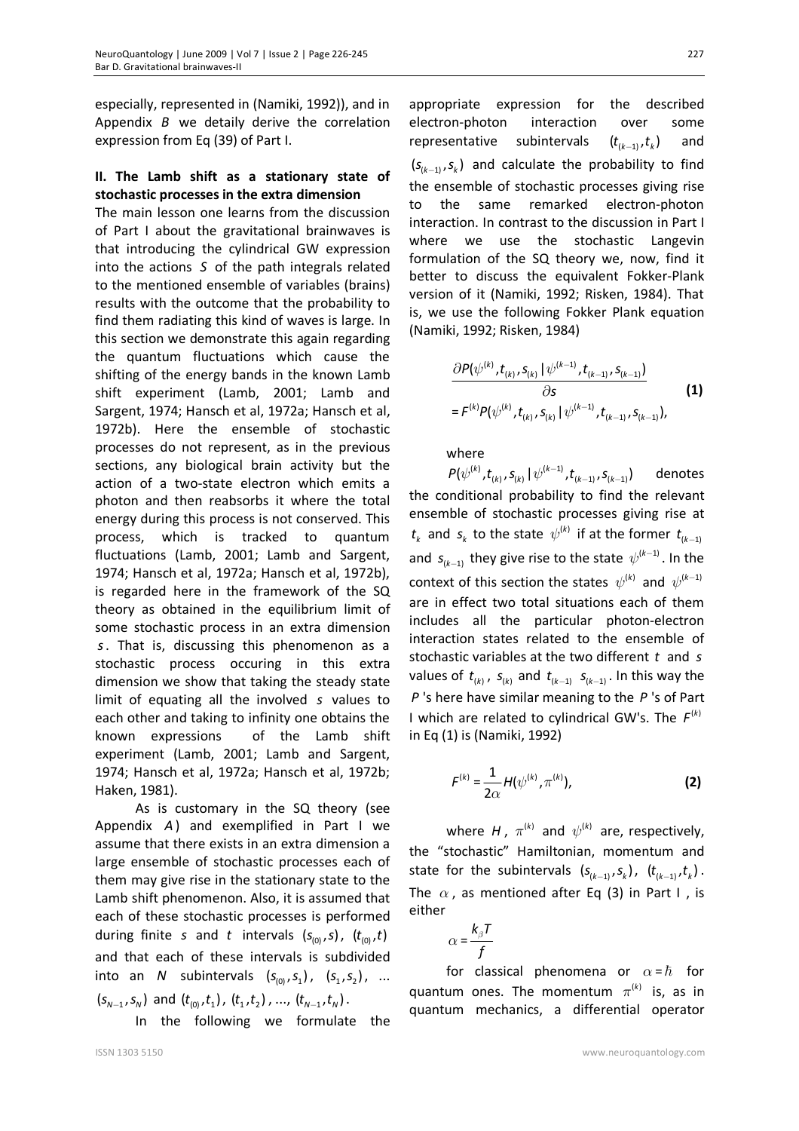especially, represented in (Namiki, 1992)), and in Appendix *B* we detaily derive the correlation expression from Eq (39) of Part I.

# **II. The Lamb shift as a stationary state of stochastic processes in the extra dimension**

The main lesson one learns from the discussion of Part I about the gravitational brainwaves is that introducing the cylindrical GW expression into the actions *S* of the path integrals related to the mentioned ensemble of variables (brains) results with the outcome that the probability to find them radiating this kind of waves is large. In this section we demonstrate this again regarding the quantum fluctuations which cause the shifting of the energy bands in the known Lamb shift experiment (Lamb, 2001; Lamb and Sargent, 1974; Hansch et al, 1972a; Hansch et al, 1972b). Here the ensemble of stochastic processes do not represent, as in the previous sections, any biological brain activity but the action of a two-state electron which emits a photon and then reabsorbs it where the total energy during this process is not conserved. This process, which is tracked to quantum fluctuations (Lamb, 2001; Lamb and Sargent, 1974; Hansch et al, 1972a; Hansch et al, 1972b), is regarded here in the framework of the SQ theory as obtained in the equilibrium limit of some stochastic process in an extra dimension *s*. That is, discussing this phenomenon as a stochastic process occuring in this extra dimension we show that taking the steady state limit of equating all the involved *s* values to each other and taking to infinity one obtains the known expressions of the Lamb shift experiment (Lamb, 2001; Lamb and Sargent, 1974; Hansch et al, 1972a; Hansch et al, 1972b; Haken, 1981).

As is customary in the SQ theory (see Appendix *A*) and exemplified in Part I we assume that there exists in an extra dimension a large ensemble of stochastic processes each of them may give rise in the stationary state to the Lamb shift phenomenon. Also, it is assumed that each of these stochastic processes is performed during finite *s* and *t* intervals  $(s_{(0)}, s)$ ,  $(t_{(0)}, t)$ and that each of these intervals is subdivided into an *N* subintervals  $(s_{(0)}, s_{(1)}, (s_{(1)}, s_{(2)}), ...$  $(s_{N-1}, s_N)$  and  $(t_{(0)}, t_1)$ ,  $(t_1, t_2)$ , ...,  $(t_{N-1}, t_N)$ .

In the following we formulate the

appropriate expression for the described electron-photon interaction over some representative subintervals  $(t_{(k-1)}, t_k)$ and  $(s_{(k-1)}, s_k)$  and calculate the probability to find the ensemble of stochastic processes giving rise to the same remarked electron-photon interaction. In contrast to the discussion in Part I where we use the stochastic Langevin formulation of the SQ theory we, now, find it better to discuss the equivalent Fokker-Plank version of it (Namiki, 1992; Risken, 1984). That is, we use the following Fokker Plank equation (Namiki, 1992; Risken, 1984)

$$
\frac{\partial P(\psi^{(k)}, t_{(k)}, s_{(k)} | \psi^{(k-1)}, t_{(k-1)}, s_{(k-1)})}{\partial s} \qquad (1)
$$
\n
$$
= F^{(k)} P(\psi^{(k)}, t_{(k)}, s_{(k)} | \psi^{(k-1)}, t_{(k-1)}, s_{(k-1)}),
$$

where

 $P(\psi^{(k)}, t_{(k)}, s_{(k)} | \psi^{(k-1)}, t_{(k-1)}, s_{(k-1)})$  denotes the conditional probability to find the relevant ensemble of stochastic processes giving rise at  $t_{k}$  and  $s_{k}$  to the state  $\psi^{(k)}$  if at the former  $t_{(k-1)}$ and  $s_{(k-1)}$  they give rise to the state  $\psi^{(k-1)}$ . In the context of this section the states  $\ \psi^{(k)}$  and  $\ \psi^{(k-1)}$ are in effect two total situations each of them includes all the particular photon-electron interaction states related to the ensemble of stochastic variables at the two different *t* and *s* values of  $t_{(k)}$ ,  $s_{(k)}$  and  $t_{(k-1)}$   $s_{(k-1)}$ . In this way the *P* 's here have similar meaning to the *P* 's of Part I which are related to cylindrical GW's. The  $F^{(k)}$ in Eq (1) is (Namiki, 1992)

$$
F^{(k)} = \frac{1}{2\alpha} H(\psi^{(k)}, \pi^{(k)}),
$$
 (2)

where H,  $\pi^{(k)}$  and  $\psi^{(k)}$  are, respectively, the "stochastic" Hamiltonian, momentum and state for the subintervals  $(s_{(k-1)}, s_k)$ ,  $(t_{(k-1)}, t_k)$ . The  $\alpha$ , as mentioned after Eq (3) in Part I, is either

$$
\alpha = \frac{k_{\beta}T}{f}
$$

for classical phenomena or  $\alpha = \hbar$  for quantum ones. The momentum  $\pi^{(k)}$  is, as in quantum mechanics, a differential operator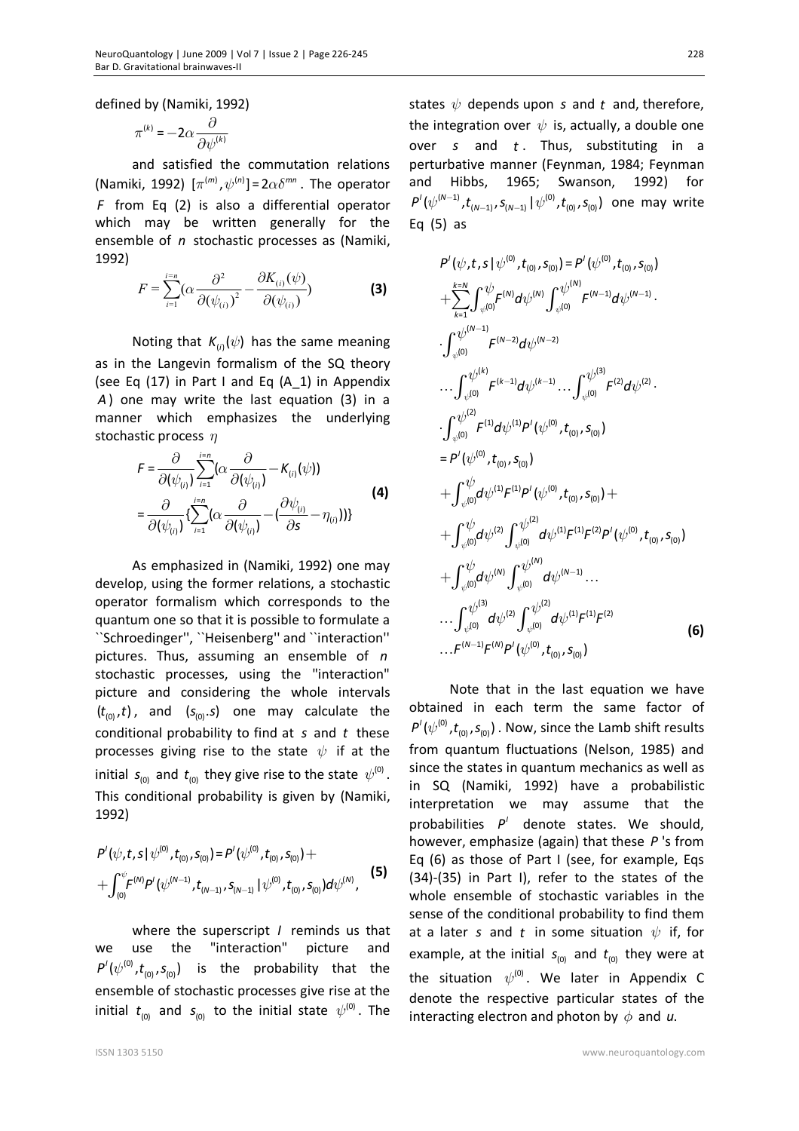defined by (Namiki, 1992)

$$
\pi^{(k)} = -2\alpha \frac{\partial}{\partial \psi^{(k)}}
$$

and satisfied the commutation relations (Namiki, 1992)  $[\pi^{(m)}, \psi^{(n)}] = 2 \alpha \delta^{mn}$ . The operator *F* from Eq (2) is also a differential operator which may be written generally for the ensemble of *n* stochastic processes as (Namiki, 1992)

$$
F = \sum_{i=1}^{i=n} \left(\alpha \frac{\partial^2}{\partial (\psi_{(i)})^2} - \frac{\partial K_{(i)}(\psi)}{\partial (\psi_{(i)})}\right)
$$
(3)

Noting that  $K_{(i)}(\psi)$  has the same meaning as in the Langevin formalism of the SQ theory (see Eq (17) in Part I and Eq (A\_1) in Appendix *A*) one may write the last equation (3) in a manner which emphasizes the underlying stochastic process  $\eta$ 

$$
F = \frac{\partial}{\partial(\psi_{(i)})} \sum_{i=1}^{i=n} (\alpha \frac{\partial}{\partial(\psi_{(i)})} - K_{(i)}(\psi))
$$
  
= 
$$
\frac{\partial}{\partial(\psi_{(i)})} \left\{ \sum_{i=1}^{i=n} (\alpha \frac{\partial}{\partial(\psi_{(i)})} - (\frac{\partial \psi_{(i)}}{\partial s} - \eta_{(i)})) \right\}
$$
(4)

As emphasized in (Namiki, 1992) one may develop, using the former relations, a stochastic operator formalism which corresponds to the quantum one so that it is possible to formulate a ``Schroedinger'', ``Heisenberg'' and ``interaction'' pictures. Thus, assuming an ensemble of *n* stochastic processes, using the "interaction" picture and considering the whole intervals  $(t_{(0)}, t)$ , and  $(s_{(0)}, s)$  one may calculate the conditional probability to find at *s* and *t* these processes giving rise to the state  $\psi$  if at the initial  $s_{\text{on}}$  and  $t_{\text{on}}$  they give rise to the state  $\psi^{(0)}$ . This conditional probability is given by (Namiki, 1992)

$$
P'(\psi, t, s | \psi^{(0)}, t_{(0)}, s_{(0)}) = P'(\psi^{(0)}, t_{(0)}, s_{(0)}) + + \int_{(0)}^{\psi} F^{(N)} P'(\psi^{(N-1)}, t_{(N-1)}, s_{(N-1)} | \psi^{(0)}, t_{(0)}, s_{(0)}) d\psi^{(N)},
$$
 (5)

where the superscript *I* reminds us that we use the "interaction" picture and  $P'(\psi^{(0)}, t_{(0)}, s_{(0)})$  is the probability that the ensemble of stochastic processes give rise at the initial  $t_{(0)}$  and  $s_{(0)}$  to the initial state  $\psi^{(0)}$ . The

states  $\psi$  depends upon *s* and *t* and, therefore, the integration over  $\psi$  is, actually, a double one over *s* and *t* . Thus, substituting in a perturbative manner (Feynman, 1984; Feynman and Hibbs, 1965; Swanson, 1992) for  $P'(\psi^{(N-1)}, t_{(N-1)}, s_{(N-1)} | \psi^{(0)}, t_{(0)}, s_{(0)})$  one may write Eq (5) as

$$
P'(\psi, t, s | \psi^{(0)}, t_{(0)}, s_{(0)}) = P'(\psi^{(0)}, t_{(0)}, s_{(0)})
$$
  
+
$$
\sum_{k=1}^{k=N} \int_{\psi^{(0)}}^{\psi} F^{(N)} d\psi^{(N)} \int_{\psi^{(0)}}^{\psi^{(N)}} F^{(N-1)} d\psi^{(N-1)}.
$$
  

$$
\int_{\psi^{(0)}}^{\psi^{(N-1)}} F^{(N-2)} d\psi^{(N-2)} \cdots \int_{\psi^{(0)}}^{\psi^{(N)}} F^{(2)} d\psi^{(2)}.
$$
  

$$
\int_{\psi^{(0)}}^{\psi^{(2)}} F^{(1)} d\psi^{(1)} P'(\psi^{(0)}, t_{(0)}, s_{(0)})
$$
  

$$
= P'(\psi^{(0)}, t_{(0)}, s_{(0)})
$$
  
+
$$
\int_{\psi^{(0)}}^{\psi} d\psi^{(1)} F^{(1)} P'(\psi^{(0)}, t_{(0)}, s_{(0)}) +
$$
  
+
$$
\int_{\psi^{(0)}}^{\psi} d\psi^{(2)} \int_{\psi^{(0)}}^{\psi^{(2)}} d\psi^{(1)} F^{(1)} F^{(2)} P'(\psi^{(0)}, t_{(0)}, s_{(0)})
$$
  
+
$$
\int_{\psi^{(0)}}^{\psi} d\psi^{(2)} \int_{\psi^{(0)}}^{\psi^{(2)}} d\psi^{(1)} F^{(1)} F^{(2)} P'(\psi^{(0)}, t_{(0)}, s_{(0)})
$$
  
...
$$
\int_{\psi^{(0)}}^{\psi^{(3)}} d\psi^{(2)} \int_{\psi^{(0)}}^{\psi^{(2)}} d\psi^{(1)} F^{(1)} F^{(2)}
$$
  
...
$$
F^{(N-1)} F^{(N)} P'(\psi^{(0)}, t_{(0)}, s_{(0)})
$$
(6)

Note that in the last equation we have obtained in each term the same factor of  $P'(\psi^{(0)}, t_{(0)}, s_{(0)})$  . Now, since the Lamb shift results from quantum fluctuations (Nelson, 1985) and since the states in quantum mechanics as well as in SQ (Namiki, 1992) have a probabilistic interpretation we may assume that the probabilities  $P'$  denote states. We should, however, emphasize (again) that these *P* 's from Eq (6) as those of Part I (see, for example, Eqs (34)-(35) in Part I), refer to the states of the whole ensemble of stochastic variables in the sense of the conditional probability to find them at a later *s* and *t* in some situation  $\psi$  if, for example, at the initial  $s_{(0)}$  and  $t_{(0)}$  they were at the situation  $\psi^{(0)}$ . We later in Appendix C denote the respective particular states of the interacting electron and photon by  $\phi$  and *u*.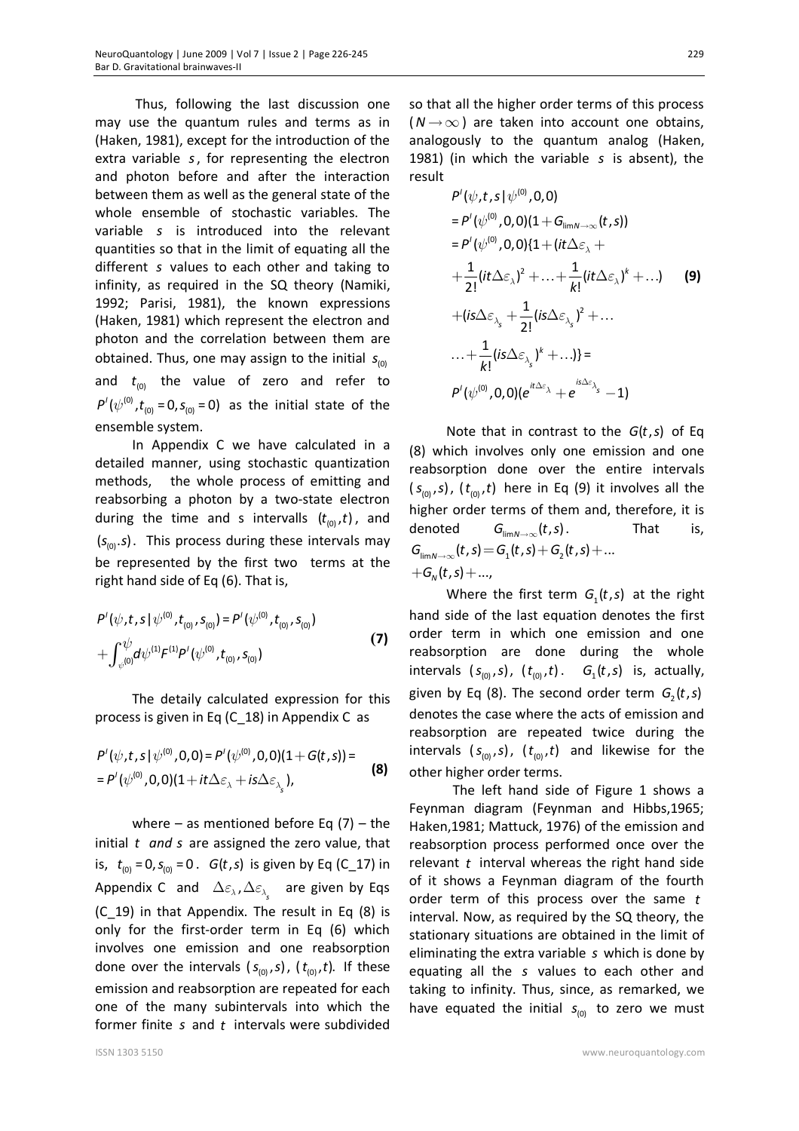Thus, following the last discussion one may use the quantum rules and terms as in (Haken, 1981), except for the introduction of the extra variable *s*, for representing the electron and photon before and after the interaction between them as well as the general state of the whole ensemble of stochastic variables. The variable *s* is introduced into the relevant quantities so that in the limit of equating all the different *s* values to each other and taking to infinity, as required in the SQ theory (Namiki, 1992; Parisi, 1981), the known expressions (Haken, 1981) which represent the electron and photon and the correlation between them are obtained. Thus, one may assign to the initial  $s_{(0)}$ and  $t_{00}$  the value of zero and refer to  $P'(\psi^{(0)}, t_{(0)} = 0, s_{(0)} = 0)$  as the initial state of the ensemble system.

In Appendix C we have calculated in a detailed manner, using stochastic quantization methods, the whole process of emitting and reabsorbing a photon by a two-state electron during the time and s intervalls  $(t_{(0)}, t)$ , and  $(s_{(0)}, s)$ . This process during these intervals may be represented by the first two terms at the right hand side of Eq (6). That is,

$$
P'(\psi, t, s | \psi^{(0)}, t_{(0)}, s_{(0)}) = P'(\psi^{(0)}, t_{(0)}, s_{(0)})
$$
  
+ 
$$
\int_{\psi^{(0)}}^{\psi} d\psi^{(1)} F^{(1)} P'(\psi^{(0)}, t_{(0)}, s_{(0)})
$$
 (7)

The detaily calculated expression for this process is given in Eq (C\_18) in Appendix C as

$$
P'(\psi, t, s | \psi^{(0)}, 0, 0) = P'(\psi^{(0)}, 0, 0)(1 + G(t, s)) =
$$
  
=  $P'(\psi^{(0)}, 0, 0)(1 + it\Delta \varepsilon_{\lambda} + is\Delta \varepsilon_{\lambda_{s}}),$  (8)

where – as mentioned before Eq  $(7)$  – the initial *t and s* are assigned the zero value, that is,  $t_{(0)} = 0$ ,  $s_{(0)} = 0$ . *G*(*t*, *s*) is given by Eq (C\_17) in Appendix C and  $\Delta \varepsilon_{\lambda}$ ,  $\Delta \varepsilon_{\lambda_{\varsigma}}$  are given by Eqs (C\_19) in that Appendix. The result in Eq (8) is only for the first-order term in Eq (6) which involves one emission and one reabsorption done over the intervals  $(s_{(0)}, s)$ ,  $(t_{(0)}, t)$ . If these emission and reabsorption are repeated for each one of the many subintervals into which the former finite *s* and *t* intervals were subdivided

so that all the higher order terms of this process  $(N \rightarrow \infty)$  are taken into account one obtains, analogously to the quantum analog (Haken, 1981) (in which the variable *s* is absent), the result

$$
P'(\psi, t, s | \psi^{(0)}, 0, 0)
$$
  
\n
$$
= P'(\psi^{(0)}, 0, 0)(1 + G_{\lim N \to \infty}(t, s))
$$
  
\n
$$
= P'(\psi^{(0)}, 0, 0)\{1 + (it\Delta \varepsilon_{\lambda} +
$$
  
\n
$$
+ \frac{1}{2!} (it\Delta \varepsilon_{\lambda})^2 + ... + \frac{1}{k!} (it\Delta \varepsilon_{\lambda})^k + ...)
$$
  
\n
$$
+ (is\Delta \varepsilon_{\lambda_s} + \frac{1}{2!} (is\Delta \varepsilon_{\lambda_s})^2 + ...
$$
  
\n
$$
... + \frac{1}{k!} (is\Delta \varepsilon_{\lambda_s})^k + ...)
$$
  
\n
$$
P'(\psi^{(0)}, 0, 0)(e^{it\Delta \varepsilon_{\lambda}} + e^{is\Delta \varepsilon_{\lambda_s}} - 1)
$$

Note that in contrast to the *G*(*t*, *s*) of Eq (8) which involves only one emission and one reabsorption done over the entire intervals  $(s_{(0)}, s)$ ,  $(t_{(0)}, t)$  here in Eq (9) it involves all the higher order terms of them and, therefore, it is denoted  $G_{\lim N \to \infty}(t, s)$ . That is,  $G_{\lim N \to \infty}(t, s) = G_1(t, s) + G_2(t, s) + ...$  $+G_N(t,s)+...,$ 

Where the first term  $G_1(t,s)$  at the right hand side of the last equation denotes the first order term in which one emission and one reabsorption are done during the whole intervals  $(s_{(0)}, s)$ ,  $(t_{(0)}, t)$ .  $G_1(t, s)$  is, actually, given by Eq (8). The second order term  $G_2(t,s)$ denotes the case where the acts of emission and reabsorption are repeated twice during the intervals  $(s_{(0)}, s)$ ,  $(t_{(0)}, t)$  and likewise for the other higher order terms.

 The left hand side of Figure 1 shows a Feynman diagram (Feynman and Hibbs,1965; Haken,1981; Mattuck, 1976) of the emission and reabsorption process performed once over the relevant *t* interval whereas the right hand side of it shows a Feynman diagram of the fourth order term of this process over the same *t* interval. Now, as required by the SQ theory, the stationary situations are obtained in the limit of eliminating the extra variable *s* which is done by equating all the *s* values to each other and taking to infinity. Thus, since, as remarked, we have equated the initial  $s_{(0)}$  to zero we must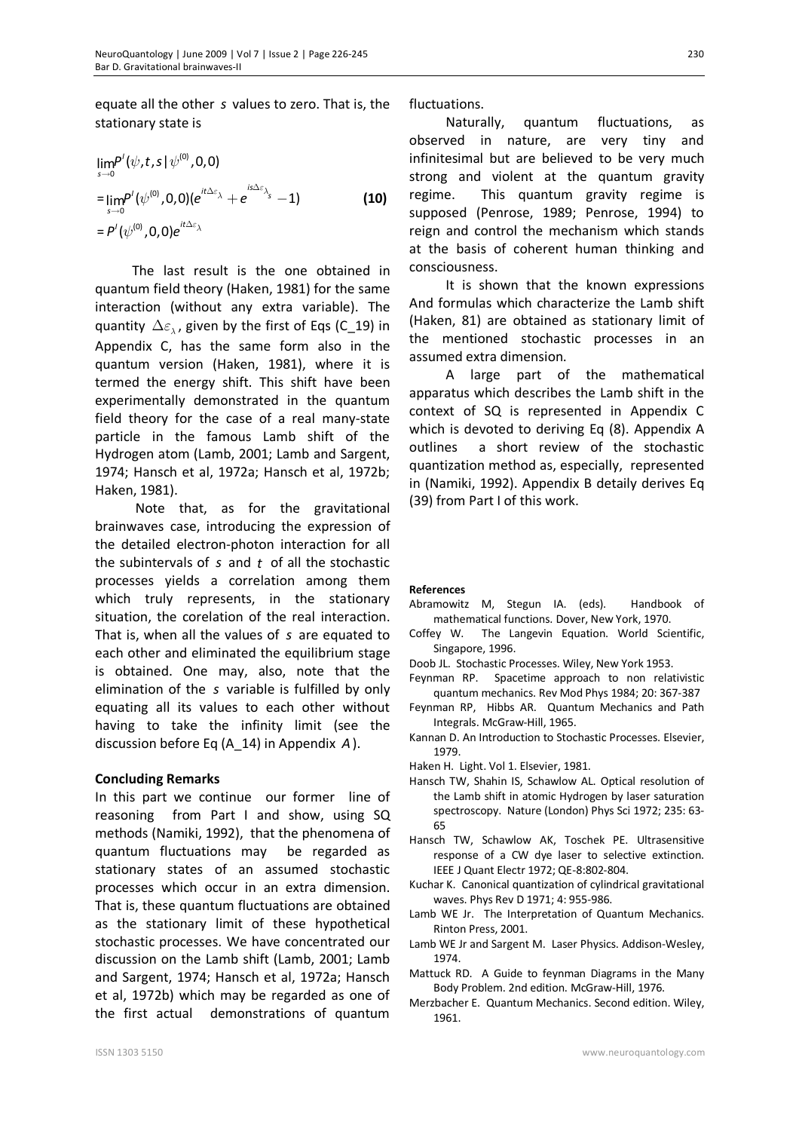equate all the other *s* values to zero. That is, the stationary state is

$$
\lim_{s \to 0} P'(\psi, t, s | \psi^{(0)}, 0, 0)
$$
\n
$$
= \lim_{s \to 0} P'(\psi^{(0)}, 0, 0) (e^{it\Delta \epsilon_{\lambda}} + e^{is\Delta \epsilon_{\lambda_s}} - 1)
$$
\n
$$
= P'(\psi^{(0)}, 0, 0) e^{it\Delta \epsilon_{\lambda}}
$$
\n(10)

The last result is the one obtained in quantum field theory (Haken, 1981) for the same interaction (without any extra variable). The quantity  $\Delta \varepsilon$ , given by the first of Eqs (C\_19) in Appendix C, has the same form also in the quantum version (Haken, 1981), where it is termed the energy shift. This shift have been experimentally demonstrated in the quantum field theory for the case of a real many-state particle in the famous Lamb shift of the Hydrogen atom (Lamb, 2001; Lamb and Sargent, 1974; Hansch et al, 1972a; Hansch et al, 1972b; Haken, 1981).

Note that, as for the gravitational brainwaves case, introducing the expression of the detailed electron-photon interaction for all the subintervals of *s* and *t* of all the stochastic processes yields a correlation among them which truly represents, in the stationary situation, the corelation of the real interaction. That is, when all the values of *s* are equated to each other and eliminated the equilibrium stage is obtained. One may, also, note that the elimination of the *s* variable is fulfilled by only equating all its values to each other without having to take the infinity limit (see the discussion before Eq (A\_14) in Appendix *A*).

## **Concluding Remarks**

In this part we continue our former line of reasoning from Part I and show, using SQ methods (Namiki, 1992), that the phenomena of quantum fluctuations may be regarded as stationary states of an assumed stochastic processes which occur in an extra dimension. That is, these quantum fluctuations are obtained as the stationary limit of these hypothetical stochastic processes. We have concentrated our discussion on the Lamb shift (Lamb, 2001; Lamb and Sargent, 1974; Hansch et al, 1972a; Hansch et al, 1972b) which may be regarded as one of the first actual demonstrations of quantum

fluctuations.

Naturally, quantum fluctuations, as observed in nature, are very tiny and infinitesimal but are believed to be very much strong and violent at the quantum gravity regime. This quantum gravity regime is supposed (Penrose, 1989; Penrose, 1994) to reign and control the mechanism which stands at the basis of coherent human thinking and consciousness.

It is shown that the known expressions And formulas which characterize the Lamb shift (Haken, 81) are obtained as stationary limit of the mentioned stochastic processes in an assumed extra dimension.

A large part of the mathematical apparatus which describes the Lamb shift in the context of SQ is represented in Appendix C which is devoted to deriving Eq (8). Appendix A outlines a short review of the stochastic quantization method as, especially, represented in (Namiki, 1992). Appendix B detaily derives Eq (39) from Part I of this work.

#### **References**

- Abramowitz M, Stegun IA. (eds). Handbook of mathematical functions. Dover, New York, 1970.
- Coffey W. The Langevin Equation. World Scientific, Singapore, 1996.
- Doob JL. Stochastic Processes. Wiley, New York 1953.
- Feynman RP. Spacetime approach to non relativistic quantum mechanics. Rev Mod Phys 1984; 20: 367-387
- Feynman RP, Hibbs AR. Quantum Mechanics and Path Integrals. McGraw-Hill, 1965.
- Kannan D. An Introduction to Stochastic Processes. Elsevier, 1979.
- Haken H. Light. Vol 1. Elsevier, 1981.
- Hansch TW, Shahin IS, Schawlow AL. Optical resolution of the Lamb shift in atomic Hydrogen by laser saturation spectroscopy. Nature (London) Phys Sci 1972; 235: 63- 65
- Hansch TW, Schawlow AK, Toschek PE. Ultrasensitive response of a CW dye laser to selective extinction. IEEE J Quant Electr 1972; QE-8:802-804.
- Kuchar K. Canonical quantization of cylindrical gravitational waves. Phys Rev D 1971; 4: 955-986.
- Lamb WE Jr. The Interpretation of Quantum Mechanics. Rinton Press, 2001.
- Lamb WE Jr and Sargent M. Laser Physics. Addison-Wesley, 1974.
- Mattuck RD. A Guide to feynman Diagrams in the Many Body Problem. 2nd edition. McGraw-Hill, 1976.
- Merzbacher E. Quantum Mechanics. Second edition. Wiley, 1961.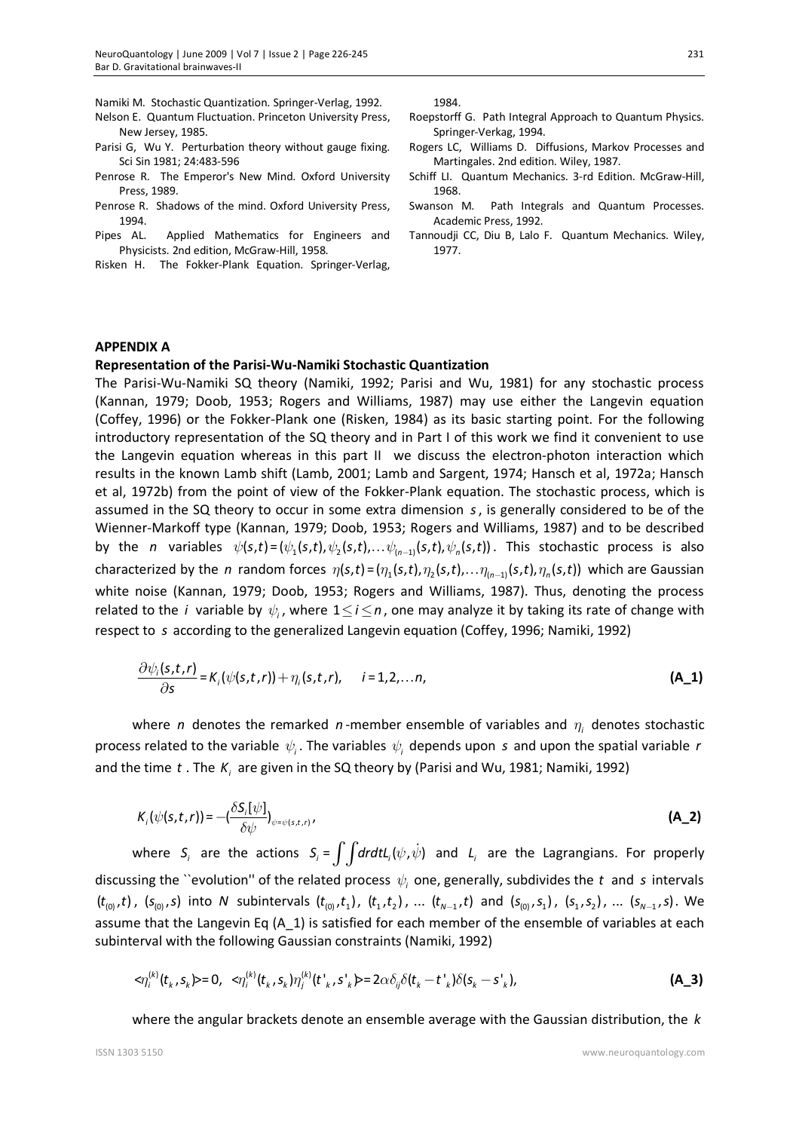Namiki M. Stochastic Quantization. Springer-Verlag, 1992.

- Nelson E. Quantum Fluctuation. Princeton University Press, New Jersey, 1985.
- Parisi G, Wu Y. Perturbation theory without gauge fixing. Sci Sin 1981; 24:483-596
- Penrose R. The Emperor's New Mind. Oxford University Press, 1989.
- Penrose R. Shadows of the mind. Oxford University Press, 1994.
- Pipes AL. Applied Mathematics for Engineers and Physicists. 2nd edition, McGraw-Hill, 1958.
- Risken H. The Fokker-Plank Equation. Springer-Verlag,

1984.

- Roepstorff G. Path Integral Approach to Quantum Physics. Springer-Verkag, 1994.
- Rogers LC, Williams D. Diffusions, Markov Processes and Martingales. 2nd edition. Wiley, 1987.
- Schiff LI. Quantum Mechanics. 3-rd Edition. McGraw-Hill, 1968.
- Swanson M. Path Integrals and Quantum Processes. Academic Press, 1992.
- Tannoudji CC, Diu B, Lalo F. Quantum Mechanics. Wiley, 1977.

## **APPENDIX A**

#### **Representation of the Parisi-Wu-Namiki Stochastic Quantization**

The Parisi-Wu-Namiki SQ theory (Namiki, 1992; Parisi and Wu, 1981) for any stochastic process (Kannan, 1979; Doob, 1953; Rogers and Williams, 1987) may use either the Langevin equation (Coffey, 1996) or the Fokker-Plank one (Risken, 1984) as its basic starting point. For the following introductory representation of the SQ theory and in Part I of this work we find it convenient to use the Langevin equation whereas in this part II we discuss the electron-photon interaction which results in the known Lamb shift (Lamb, 2001; Lamb and Sargent, 1974; Hansch et al, 1972a; Hansch et al, 1972b) from the point of view of the Fokker-Plank equation. The stochastic process, which is assumed in the SQ theory to occur in some extra dimension *s*, is generally considered to be of the Wienner-Markoff type (Kannan, 1979; Doob, 1953; Rogers and Williams, 1987) and to be described by the *n* variables  $\psi(s,t) = (\psi_1(s,t), \psi_2(s,t), \dots \psi_{(n-1)}(s,t), \psi_n(s,t))$ . This stochastic process is also characterized by the *n* random forces  $\eta(s,t) = (\eta_1(s,t), \eta_2(s,t), \ldots, \eta_{(n-1)}(s,t), \eta_n(s,t))$  which are Gaussian white noise (Kannan, 1979; Doob, 1953; Rogers and Williams, 1987). Thus, denoting the process related to the *i* variable by  $\psi_i$ , where  $1 \leq i \leq n$ , one may analyze it by taking its rate of change with respect to *s* according to the generalized Langevin equation (Coffey, 1996; Namiki, 1992)

$$
\frac{\partial \psi_i(s,t,r)}{\partial s} = K_i(\psi(s,t,r)) + \eta_i(s,t,r), \qquad i = 1,2,\ldots n,
$$
 (A\_1)

where *n* denotes the remarked *n*-member ensemble of variables and  $\eta_i$  denotes stochastic process related to the variable  $\psi_i$ . The variables  $\psi_i$  depends upon s and upon the spatial variable *r* and the time t. The  $K<sub>i</sub>$  are given in the SQ theory by (Parisi and Wu, 1981; Namiki, 1992)

$$
K_i(\psi(s,t,r)) = -\left(\frac{\delta S_i[\psi]}{\delta \psi}\right)_{\psi = \psi(s,t,r)},
$$
\n(A\_2)

where  $S_i$  are the actions  $S_i = \int \int dr dt L_i(\psi, \dot{\psi})$  and  $L_i$  are the Lagrangians. For properly discussing the ``evolution'' of the related process  $\psi_i$  one, generally, subdivides the *t* and *s* intervals  $(t_{(0)},t)$ ,  $(s_{(0)},s)$  into N subintervals  $(t_{(0)},t_1)$ ,  $(t_1,t_2)$ , ...  $(t_{N-1},t)$  and  $(s_{(0)},s_1)$ ,  $(s_1,s_2)$ , ...  $(s_{N-1},s)$ . We assume that the Langevin Eq  $(A_1)$  is satisfied for each member of the ensemble of variables at each subinterval with the following Gaussian constraints (Namiki, 1992)

$$
<\!\!\eta_i^{(k)}(t_k,s_k)=0, \ \ \leq\!\!\eta_i^{(k)}(t_k,s_k)\eta_j^{(k)}(t_{k,s}^*,s_k^*)=2\alpha\delta_{ij}\delta(t_k-t_{k}^*)\delta(s_k-s_{k}^*), \tag{A_3}
$$

where the angular brackets denote an ensemble average with the Gaussian distribution, the *k*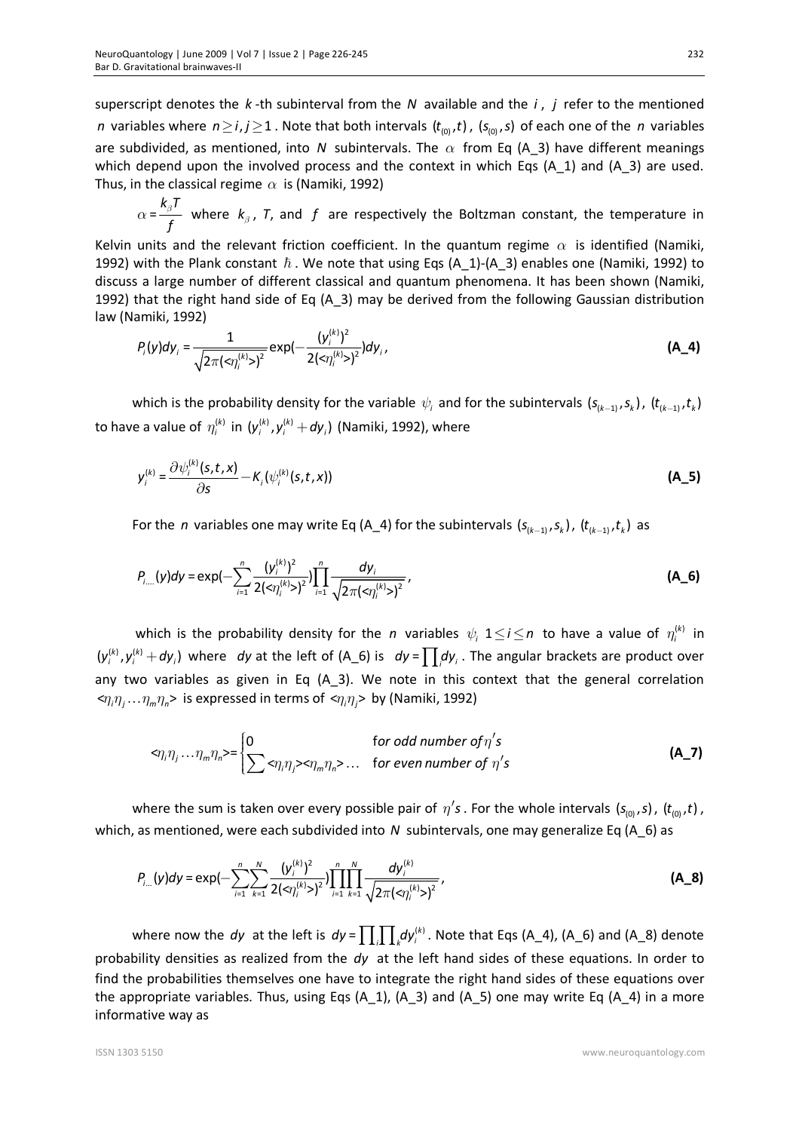superscript denotes the *k* -th subinterval from the *N* available and the *i* , *j* refer to the mentioned *n* variables where  $n \ge i, j \ge 1$ . Note that both intervals  $(t_{(0)}, t)$ ,  $(s_{(0)}, s)$  of each one of the *n* variables are subdivided, as mentioned, into *N* subintervals. The  $\alpha$  from Eq (A 3) have different meanings which depend upon the involved process and the context in which Eqs  $(A_1)$  and  $(A_3)$  are used. Thus, in the classical regime  $\alpha$  is (Namiki, 1992)

=  $k_{_\beta}$ T *f*  $\alpha = \frac{n_{\beta}r}{f}$  where  $k_{\beta}$ , T, and f are respectively the Boltzman constant, the temperature in

Kelvin units and the relevant friction coefficient. In the quantum regime  $\alpha$  is identified (Namiki, 1992) with the Plank constant  $\hbar$ . We note that using Eqs (A\_1)-(A\_3) enables one (Namiki, 1992) to discuss a large number of different classical and quantum phenomena. It has been shown (Namiki, 1992) that the right hand side of Eq  $(A_3)$  may be derived from the following Gaussian distribution law (Namiki, 1992)

$$
P_i(y)dy_i = \frac{1}{\sqrt{2\pi(\langle x_i^{(k)}\rangle)^2}}\exp(-\frac{(y_i^{(k)})^2}{2(\langle x_i^{(k)}\rangle)^2})dy_i,
$$
 (A\_4)

which is the probability density for the variable  $\psi_i$  and for the subintervals  $(s_{(k-1)}, s_k)$ ,  $(t_{(k-1)}, t_k)$ to have a value of  $\eta_i^{(k)}$  in  $(y_i^{(k)}, y_i^{(k)}+dy_i)$  (Namiki, 1992), where

$$
y_i^{(k)} = \frac{\partial \psi_i^{(k)}(s, t, x)}{\partial s} - K_i(\psi_i^{(k)}(s, t, x))
$$
 (A\_5)

For the *n* variables one may write Eq (A\_4) for the subintervals  $(s_{(k-1)}, s_{k})$ ,  $(t_{(k-1)}, t_{k})$  as

$$
P_{i_{\text{max}}}(\mathsf{y})d\mathsf{y}=\exp\bigl(-\sum_{i=1}^{n}\frac{(\mathsf{y}_{i}^{(k)})^{2}}{2(\langle\eta_{i}^{(k)}\rangle)^{2}}\bigr)\prod_{i=1}^{n}\frac{d\mathsf{y}_{i}}{\sqrt{2\pi(\langle\eta_{i}^{(k)}\rangle)^{2}}}\,,\tag{A_6}
$$

which is the probability density for the *n* variables  $\psi_i$   $1 \leq i \leq n$  to have a value of  $\eta_i^{(k)}$  in  $(y_i^{(k)}, y_i^{(k)} + dy_i)$  where *dy* at the left of (A\_6) is  $dy = \prod_i dy_i$ . The angular brackets are product over any two variables as given in Eq  $(A_3)$ . We note in this context that the general correlation  $\langle \eta_i \eta_i \dots \eta_m \eta_n \rangle$  is expressed in terms of  $\langle \eta_i \eta_i \rangle$  by (Namiki, 1992)

$$
\langle \eta_i \eta_j \dots \eta_m \eta_n \rangle = \begin{cases} 0 & \text{for odd number of } \eta' s \\ \sum \langle \eta_i \eta_j \rangle \langle \eta_m \eta_n \rangle \dots & \text{for even number of } \eta' s \end{cases} \tag{A_7}
$$

where the sum is taken over every possible pair of  $\eta'$ s. For the whole intervals ( $s$ <sub>(0)</sub>, s), ( $t$ <sub>(0)</sub>, t), which, as mentioned, were each subdivided into *N* subintervals, one may generalize Eq (A 6) as

$$
P_{i...}(y)dy = \exp\left(-\sum_{i=1}^{n}\sum_{k=1}^{N}\frac{(y_i^{(k)})^2}{2(\lll n_i^{(k)}>\lceil^2}\right)\prod_{i=1}^{n}\prod_{k=1}^{N}\frac{dy_i^{(k)}}{\sqrt{2\pi(\lll n_i^{(k)}>\lceil^2}\lll\right)},
$$
(A\_8)

where now the *dy* at the left is  $dy = \prod_i \prod_k dy_i^{(k)}$ . Note that Eqs (A\_4), (A\_6) and (A\_8) denote probability densities as realized from the *dy* at the left hand sides of these equations. In order to find the probabilities themselves one have to integrate the right hand sides of these equations over the appropriate variables. Thus, using Eqs  $(A_1)$ ,  $(A_3)$  and  $(A_5)$  one may write Eq  $(A_4)$  in a more informative way as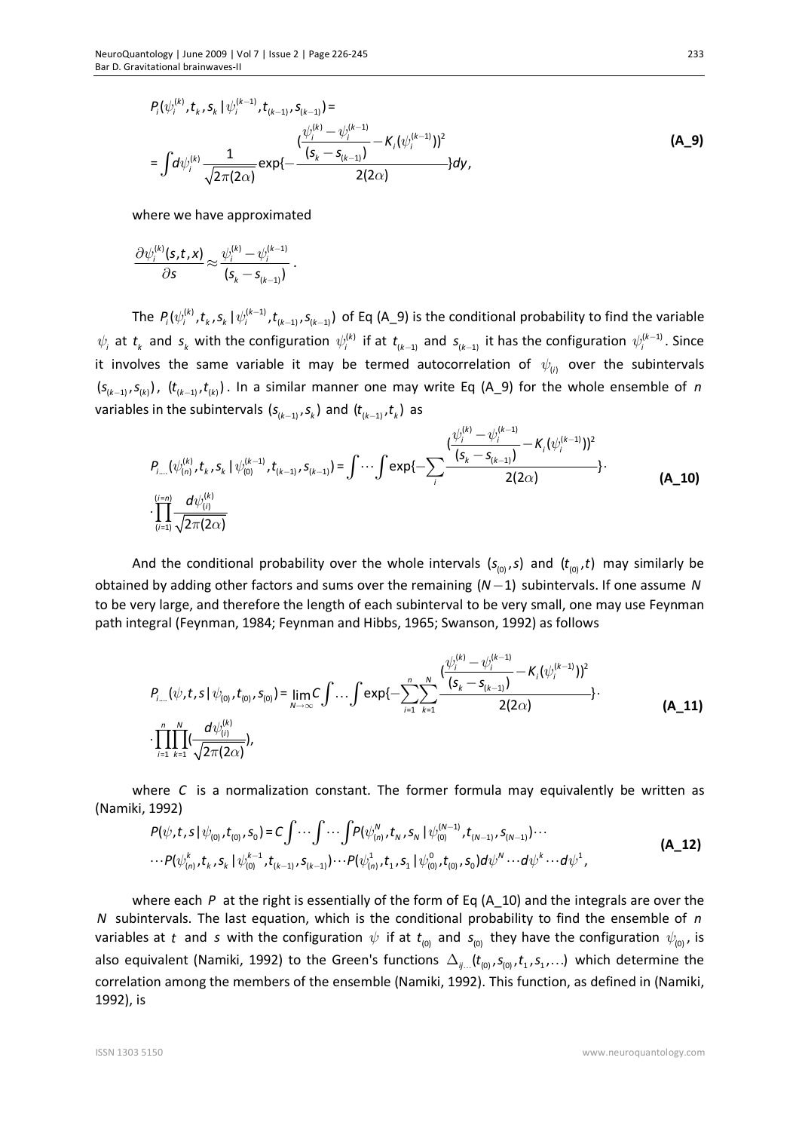$$
P_{i}(\psi_{i}^{(k)}, t_{k}, s_{k} | \psi_{i}^{(k-1)}, t_{(k-1)}, s_{(k-1)}) =
$$
\n
$$
= \int d\psi_{i}^{(k)} \frac{1}{\sqrt{2\pi(2\alpha)}} exp\{-\frac{\frac{(\psi_{i}^{(k)} - \psi_{i}^{(k-1)})}{(s_{k} - s_{(k-1)})} - K_{i}(\psi_{i}^{(k-1)})\}^{2}}{2(2\alpha)}\} d\mathbf{y},
$$
\n(A\_9)

where we have approximated

$$
\frac{\partial \psi_i^{(k)}(s,t,x)}{\partial s} \!\approx\! \frac{\psi_i^{(k)} - \psi_i^{(k-1)}}{(s_k - s_{(k-1)})}\,.
$$

The  $P_i(\psi_i^{(k)},t_k,s_k\,|\,\psi_i^{(k-1)},t_{(k-1)},s_{(k-1)})$  of Eq (A\_9) is the conditional probability to find the variable  $\psi_i$  at  $t_k$  and  $s_k$  with the configuration  $\psi_i^{(k)}$  if at  $t_{(k-1)}$  and  $s_{(k-1)}$  it has the configuration  $\psi_i^{(k-1)}$ . Since it involves the same variable it may be termed autocorrelation of  $\psi_{(i)}$  over the subintervals  $(s_{(k-1)}, s_{(k)})$ ,  $(t_{(k-1)}, t_{(k)})$ . In a similar manner one may write Eq (A\_9) for the whole ensemble of *n* variables in the subintervals  $(s_{(k-1)}, s_{k})$  and  $(t_{(k-1)}, t_{k})$  as

$$
P_{i...}(\psi_{(n)}^{(k)}, t_k, s_k | \psi_{(0)}^{(k-1)}, t_{(k-1)}, s_{(k-1)}) = \int \cdots \int \exp\{-\sum_{i} \frac{(\psi_i^{(k)} - \psi_i^{(k-1)} - K_i(\psi_i^{(k-1)}))^2}{2(2\alpha)}\} \cdot \frac{(A_1 10)}{(A_1 10)}
$$

And the conditional probability over the whole intervals  $(s_{(0)}, s)$  and  $(t_{(0)}, t)$  may similarly be obtained by adding other factors and sums over the remaining  $(N-1)$  subintervals. If one assume N to be very large, and therefore the length of each subinterval to be very small, one may use Feynman path integral (Feynman, 1984; Feynman and Hibbs, 1965; Swanson, 1992) as follows

$$
P_{i_{\text{max}}}(\psi, t, s | \psi_{(0)}, t_{(0)}, s_{(0)}) = \lim_{N \to \infty} C \int \dots \int \exp\{-\sum_{i=1}^{n} \sum_{k=1}^{N} \frac{\left(\frac{\psi_{i}^{(k)} - \psi_{i}^{(k-1)}}{(s_{k} - s_{(k-1)})} - K_{i}(\psi_{i}^{(k-1)})\right)^{2}}{2(2\alpha)}\} \cdot \frac{\left(\frac{N}{N}\right)^{N}}{2\pi(2\alpha)}.
$$
\n(A\_11)

where *C* is a normalization constant. The former formula may equivalently be written as (Namiki, 1992)

$$
P(\psi, t, s | \psi_{(0)}, t_{(0)}, s_{0}) = C \int \cdots \int \cdots \int P(\psi_{(n)}^{N}, t_{N}, s_{N} | \psi_{(0)}^{(N-1)}, t_{(N-1)}, s_{(N-1)}) \cdots
$$
  
\n
$$
\cdots P(\psi_{(n)}^{k}, t_{k}, s_{k} | \psi_{(0)}^{k-1}, t_{(k-1)}, s_{(k-1)}) \cdots P(\psi_{(n)}^{1}, t_{1}, s_{1} | \psi_{(0)}^{0}, t_{(0)}, s_{0}) d\psi^{N} \cdots d\psi^{k} \cdots d\psi^{1},
$$
\n(A\_12)

where each *P* at the right is essentially of the form of Eq (A\_10) and the integrals are over the *N* subintervals. The last equation, which is the conditional probability to find the ensemble of *n* variables at *t* and *s* with the configuration  $\psi$  if at  $t_{(0)}$  and  $s_{(0)}$  they have the configuration  $\psi_{(0)}$ , is also equivalent (Namiki, 1992) to the Green's functions  $\Delta_{ij}$   $(t_{(0)}, s_{(0)}, t_1, s_1, ...)$  which determine the correlation among the members of the ensemble (Namiki, 1992). This function, as defined in (Namiki, 1992), is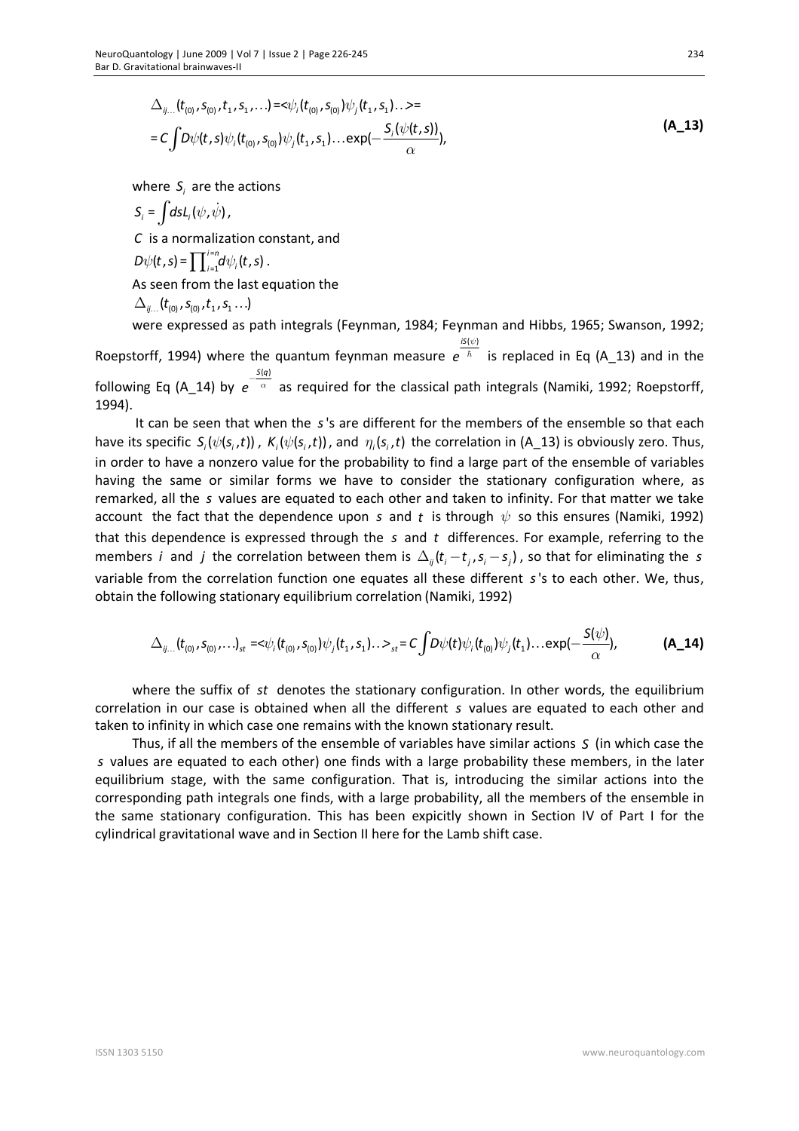$$
\Delta_{ij...}(t_{(0)}, s_{(0)}, t_1, s_1, ...)=\langle \psi_i(t_{(0)}, s_{(0)})\psi_j(t_1, s_1) \rangle \Rightarrow = C \int D\psi(t, s)\psi_i(t_{(0)}, s_{(0)})\psi_j(t_1, s_1) \dots exp(-\frac{S_i(\psi(t, s))}{\alpha}),
$$
\n(A\_13)

where  $S_i$  are the actions

$$
S_i = \int ds L_i(\psi, \dot{\psi}),
$$
  
\n*C* is a normalization constant, and  
\n
$$
D\psi(t, s) = \prod_{i=1}^{i=n} d\psi_i(t, s).
$$

As seen from the last equation the

$$
\Delta_{ij...}(t_{(0)}, s_{(0)}, t_1, s_1...)
$$

1994).

were expressed as path integrals (Feynman, 1984; Feynman and Hibbs, 1965; Swanson, 1992; Roepstorff, 1994) where the quantum feynman measure  $i$ S $(\psi)$ *e* ψ  $\hbar$  is replaced in Eq (A\_13) and in the following Eq (A\_14) by *S q*( )  $e^{-\frac{2\pi i}{\alpha}}$  as required for the classical path integrals (Namiki, 1992; Roepstorff,

It can be seen that when the *s*'s are different for the members of the ensemble so that each have its specific  $S_i(\psi(s_i,t))$ ,  $K_i(\psi(s_i,t))$ , and  $\eta_i(s_i,t)$  the correlation in (A\_13) is obviously zero. Thus, in order to have a nonzero value for the probability to find a large part of the ensemble of variables having the same or similar forms we have to consider the stationary configuration where, as remarked, all the *s* values are equated to each other and taken to infinity. For that matter we take account the fact that the dependence upon *s* and *t* is through  $\psi$  so this ensures (Namiki, 1992) that this dependence is expressed through the *s* and *t* differences. For example, referring to the members *i* and *j* the correlation between them is  $\Delta_{ij}$  ( $t_i - t_i$ ,  $s_i - s_j$ ), so that for eliminating the *s* variable from the correlation function one equates all these different *s*'s to each other. We, thus, obtain the following stationary equilibrium correlation (Namiki, 1992)

$$
\Delta_{ij...}(t_{(0)}, s_{(0)},...)_s = \langle \psi_i(t_{(0)}, s_{(0)}) \psi_j(t_1, s_1)... \rangle_{st} = C \int D\psi(t) \psi_i(t_{(0)}) \psi_j(t_1)...exp(-\frac{S(\psi)}{\alpha}), \tag{A_14}
$$

where the suffix of *st* denotes the stationary configuration. In other words, the equilibrium correlation in our case is obtained when all the different *s* values are equated to each other and taken to infinity in which case one remains with the known stationary result.

Thus, if all the members of the ensemble of variables have similar actions *S* (in which case the *s* values are equated to each other) one finds with a large probability these members, in the later equilibrium stage, with the same configuration. That is, introducing the similar actions into the corresponding path integrals one finds, with a large probability, all the members of the ensemble in the same stationary configuration. This has been expicitly shown in Section IV of Part I for the cylindrical gravitational wave and in Section II here for the Lamb shift case.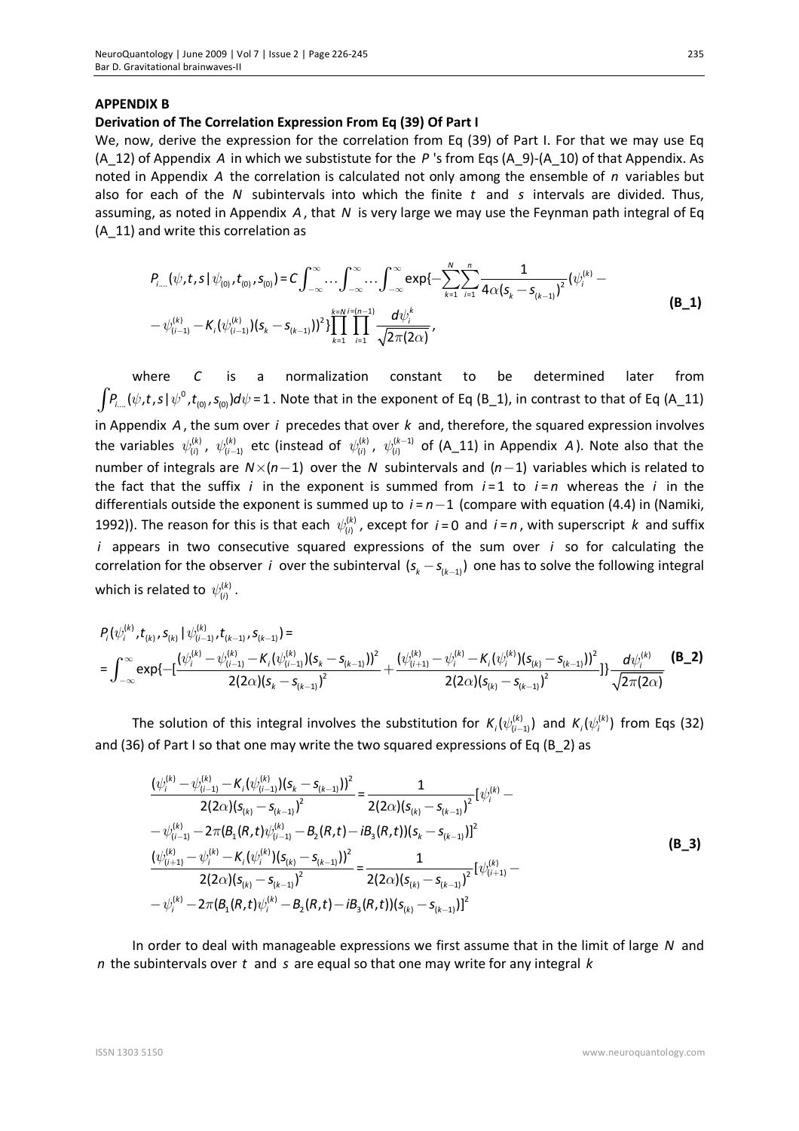#### **APPENDIX B**

#### **Derivation of The Correlation Expression From Eq (39) Of Part I**

We, now, derive the expression for the correlation from Eq (39) of Part I. For that we may use Eq (A\_12) of Appendix *A* in which we substistute for the *P* 's from Eqs (A\_9)-(A\_10) of that Appendix. As noted in Appendix *A* the correlation is calculated not only among the ensemble of *n* variables but also for each of the *N* subintervals into which the finite *t* and *s* intervals are divided. Thus, assuming, as noted in Appendix *A*, that *N* is very large we may use the Feynman path integral of Eq (A\_11) and write this correlation as

$$
P_{i...}(\psi, t, s | \psi_{(0)}, t_{(0)}, s_{(0)}) = C \int_{-\infty}^{\infty} \cdots \int_{-\infty}^{\infty} \cdots \int_{-\infty}^{\infty} \exp\{-\sum_{k=1}^{N} \sum_{i=1}^{n} \frac{1}{4\alpha(s_{k} - s_{(k-1)})^{2}} (\psi_{i}^{(k)} - \psi_{(i-1)}^{(k)} - \psi_{(i-1)}^{(k)}) (s_{k} - s_{(k-1)})^{2}\}\prod_{k=1}^{k=N} \prod_{i=1}^{i-(n-1)} \frac{d\psi_{i}^{k}}{\sqrt{2\pi(2\alpha)}},
$$
\n(B\_1)

where *C* is a normalization constant to be determined later from  $\int P_{i...}(\psi,t,s\,|\,\psi^0,t_{(0)},s_{(0)})d\psi$  = 1 . Note that in the exponent of Eq (B\_1), in contrast to that of Eq (A\_11) in Appendix *A*, the sum over *i* precedes that over *k* and, therefore, the squared expression involves the variables  $\psi^{(k)}_{(i)}$ ,  $\psi^{(k)}_{(i-1)}$  etc (instead of  $\psi^{(k)}_{(i)}$ ,  $\psi^{(k-1)}_{(i)}$  of (A\_11) in Appendix A). Note also that the number of integrals are  $N \times (n-1)$  over the *N* subintervals and  $(n-1)$  variables which is related to the fact that the suffix *i* in the exponent is summed from  $i = 1$  to  $i = n$  whereas the *i* in the differentials outside the exponent is summed up to  $i = n - 1$  (compare with equation (4.4) in (Namiki, 1992)). The reason for this is that each  $\psi^{(k)}_{(i)}$ , except for  $i$  = 0 and  $i$  = n, with superscript k and suffix *i* appears in two consecutive squared expressions of the sum over *i* so for calculating the correlation for the observer *i* over the subinterval  $(s_k - s_{k-1})$  one has to solve the following integral which is related to  $\psi^{(k)}_{(i)}$  .

$$
P_{i}(\psi_{i}^{(k)}, t_{(k)}, s_{(k)} | \psi_{(i-1)}^{(k)}, t_{(k-1)}, s_{(k-1)}) =
$$
\n
$$
= \int_{-\infty}^{\infty} \exp\{-\left[\frac{(\psi_{i}^{(k)} - \psi_{(i-1)}^{(k)} - K_{i}(\psi_{(i-1)}^{(k)})(s_{k} - s_{(k-1)}))^2}{2(2\alpha)(s_{k} - s_{(k-1)})^2} + \frac{(\psi_{(i+1)}^{(k)} - \psi_{i}^{(k)} - K_{i}(\psi_{i}^{(k)})(s_{(k)} - s_{(k-1)})^2}{2(2\alpha)(s_{(k)} - s_{(k-1)})^2}\right]\} \frac{d\psi_{i}^{(k)}}{\sqrt{2\pi(2\alpha)}} \quad (B_2)
$$

The solution of this integral involves the substitution for  $K_i(\psi^{(k)}_{(i-1)})$  and  $K_i(\psi^{(k)}_i)$  from Eqs (32) and (36) of Part I so that one may write the two squared expressions of Eq (B\_2) as

$$
\frac{(\psi_i^{(k)} - \psi_{(i-1)}^{(k)} - K_i(\psi_{(i-1)}^{(k)}) (s_k - s_{(k-1)}))^2}{2(2\alpha)(s_{(k)} - s_{(k-1)})^2} = \frac{1}{2(2\alpha)(s_{(k)} - s_{(k-1)})^2} [\psi_i^{(k)} - \psi_{(i-1)}^{(k)} - 2\pi(B_1(R, t)\psi_{(i-1)}^{(k)} - B_2(R, t) - iB_3(R, t))(s_k - s_{(k-1)})]^2
$$
\n
$$
\frac{(\psi_{(i+1)}^{(k)} - \psi_i^{(k)} - K_i(\psi_i^{(k)})(s_{(k)} - s_{(k-1)}))^2}{2(2\alpha)(s_{(k)} - s_{(k-1})^2} = \frac{1}{2(2\alpha)(s_{(k)} - s_{(k-1)})^2} [\psi_{(i+1)}^{(k)} - \psi_i^{(k)} - 2\pi(B_1(R, t)\psi_i^{(k)} - B_2(R, t) - iB_3(R, t))(s_{(k)} - s_{(k-1)})]^2
$$
\n(B\_3)

In order to deal with manageable expressions we first assume that in the limit of large *N* and *n* the subintervals over *t* and *s* are equal so that one may write for any integral *k*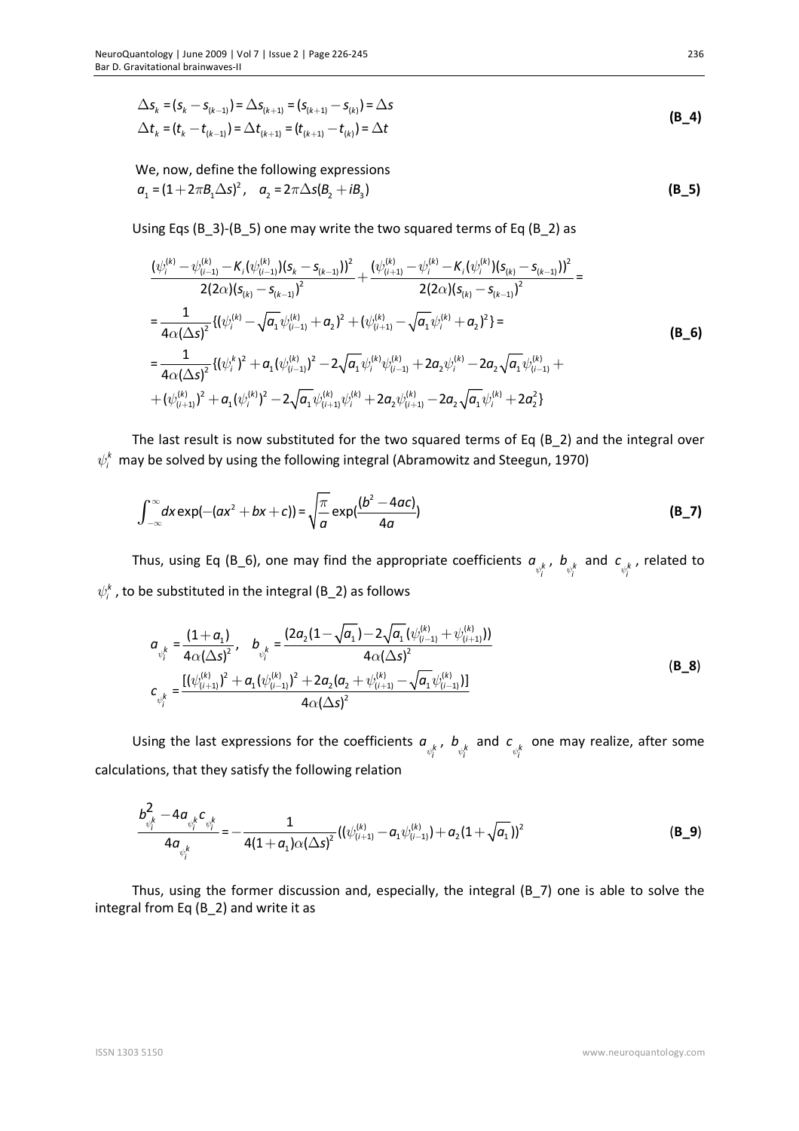$$
\Delta s_k = (s_k - s_{(k-1)}) = \Delta s_{(k+1)} = (s_{(k+1)} - s_{(k)}) = \Delta s
$$
\n
$$
\Delta t_k = (t_k - t_{(k-1)}) = \Delta t_{(k+1)} = (t_{(k+1)} - t_{(k)}) = \Delta t
$$
\n(B\_4)

We, now, define the following expressions  $a_1 = (1 + 2\pi B_1 \Delta s)^2$ ,  $a_2 = 2\pi \Delta s (B_2 + iB_3)$  (B\_5)

Using Eqs (B\_3)-(B\_5) one may write the two squared terms of Eq (B\_2) as

$$
\frac{(\psi_i^{(k)} - \psi_{(i-1)}^{(k)} - K_i(\psi_{(i-1)}^{(k)})(s_k - s_{(k-1)}))^2}{2(2\alpha)(s_{(k)} - s_{(k-1)})^2} + \frac{(\psi_{(i+1)}^{(k)} - \psi_i^{(k)} - K_i(\psi_i^{(k)})(s_{(k)} - s_{(k-1)}))^2}{2(2\alpha)(s_{(k)} - s_{(k-1)})^2} =
$$
\n
$$
= \frac{1}{4\alpha(\Delta s)^2} \{(\psi_i^{(k)} - \sqrt{a_1}\psi_{(i-1)}^{(k)} + a_2)^2 + (\psi_{(i+1)}^{(k)} - \sqrt{a_1}\psi_i^{(k)} + a_2)^2\} =
$$
\n
$$
= \frac{1}{4\alpha(\Delta s)^2} \{(\psi_i^{(k)})^2 + a_1(\psi_{(i-1)}^{(k)})^2 - 2\sqrt{a_1}\psi_i^{(k)}\psi_{(i-1)}^{(k)} + 2a_2\psi_i^{(k)} - 2a_2\sqrt{a_1}\psi_{(i-1)}^{(k)} + (\psi_{(i+1)}^{(k)})^2 + a_1(\psi_i^{(k)})^2 - 2\sqrt{a_1}\psi_{(i+1)}^{(k)}\psi_i^{(k)} + 2a_2\psi_{(i+1)}^{(k)} - 2a_2\sqrt{a_1}\psi_i^{(k)} + 2a_2^2\}
$$
\n(B\_6)

The last result is now substituted for the two squared terms of Eq (B 2) and the integral over  $\psi_i^k$  may be solved by using the following integral (Abramowitz and Steegun, 1970)

$$
\int_{-\infty}^{\infty} dx \exp(-(ax^2 + bx + c)) = \sqrt{\frac{\pi}{a}} \exp(\frac{(b^2 - 4ac)}{4a})
$$
 (B\_7)

Thus, using Eq (B\_6), one may find the appropriate coefficients  $a_{v_i^k}$ ,  $b_{v_i^k}$  and  $c_{v_i^k}$ , related to  $\psi_i^k$  , to be substituted in the integral (B\_2) as follows

$$
a_{\psi_i^k} = \frac{(1 + a_1)}{4\alpha (\Delta s)^2}, \quad b_{\psi_i^k} = \frac{(2a_2(1 - \sqrt{a_1}) - 2\sqrt{a_1}(\psi_{(i-1)}^{(k)} + \psi_{(i+1)}^{(k)}))}{4\alpha (\Delta s)^2}
$$
  
\n
$$
c_{\psi_i^k} = \frac{[(\psi_{(i+1)}^{(k)})^2 + a_1(\psi_{(i-1)}^{(k)})^2 + 2a_2(a_2 + \psi_{(i+1)}^{(k)} - \sqrt{a_1}\psi_{(i-1)}^{(k)})]}{4\alpha (\Delta s)^2}
$$
(B\_8)

Using the last expressions for the coefficients  $a_{\psi_i^k}$ ,  $b_{\psi_i^k}$  and  $c_{\psi_i^k}$  one may realize, after some calculations, that they satisfy the following relation

$$
\frac{b_{\psi_i^k}^2 - 4a_{\psi_i^k}c_{\psi_i^k}}{4a_{\psi_i^k}} = -\frac{1}{4(1+a_1)\alpha(\Delta s)^2}((\psi_{(i+1)}^{(k)} - a_1\psi_{(i-1)}^{(k)}) + a_2(1+\sqrt{a_1}))^2
$$
(B\_9)

Thus, using the former discussion and, especially, the integral (B\_7) one is able to solve the integral from Eq (B\_2) and write it as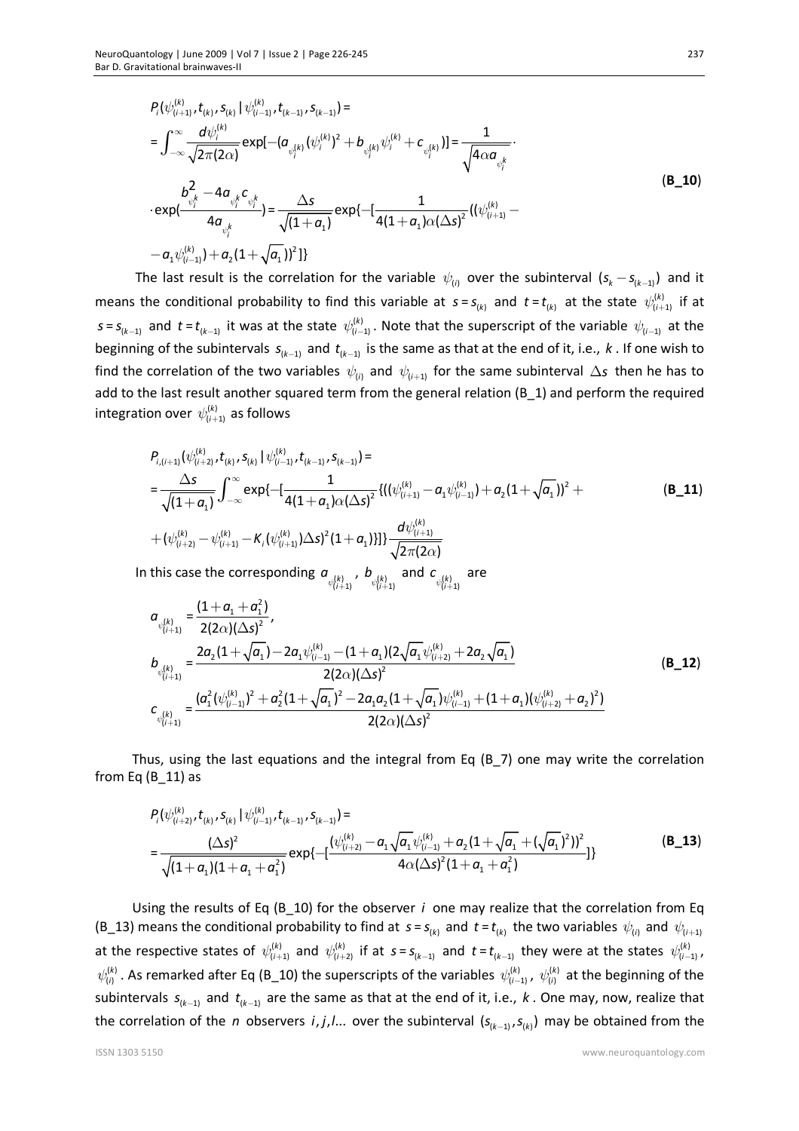$$
P_{i}(\psi_{(i+1)}^{(k)}, t_{(k)}, s_{(k)} | \psi_{(i-1)}^{(k)}, t_{(k-1)}, s_{(k-1)}) =
$$
\n
$$
= \int_{-\infty}^{\infty} \frac{d\psi_{i}^{(k)}}{\sqrt{2\pi (2\alpha)}} exp[-(\alpha_{\psi_{i}^{(k)}}(\psi_{i}^{(k)})^{2} + b_{\psi_{i}^{(k)}}\psi_{i}^{(k)} + c_{\psi_{i}^{(k)}})] = \frac{1}{\sqrt{4\alpha\alpha_{\psi_{i}^{k}}}}
$$
\n
$$
\cdot exp(\frac{b_{\psi_{i}^{k}}^{2} - 4\alpha_{\psi_{i}^{k}} c_{\psi_{i}^{k}}}{4\alpha_{\psi_{i}^{k}}}) = \frac{\Delta s}{\sqrt{(1+\alpha_{1})}} exp\{-[\frac{1}{4(1+\alpha_{1})\alpha(\Delta s)^{2}}((\psi_{(i+1)}^{(k)} - \alpha_{1}\psi_{(i-1)}^{(k)}) + \alpha_{2}(1+\sqrt{\alpha_{1}})]^{2}]\}
$$
\n(8.10)

The last result is the correlation for the variable  $\psi_{(i)}$  over the subinterval  $(s_k - s_{(k-1)})$  and it means the conditional probability to find this variable at  $s = s_{(k)}$  and  $t = t_{(k)}$  at the state  $\psi_{(i+1)}^{(k)}$  if at  $s = s_{(k-1)}$  and  $t = t_{(k-1)}$  it was at the state  $\psi_{(i-1)}^{(k)}$ . Note that the superscript of the variable  $\psi_{(i-1)}$  at the beginning of the subintervals  $s_{(k-1)}$  and  $t_{(k-1)}$  is the same as that at the end of it, i.e.,  $k$ . If one wish to find the correlation of the two variables  $\psi_{(i)}$  and  $\psi_{(i+1)}$  for the same subinterval  $\Delta$ s then he has to add to the last result another squared term from the general relation (B\_1) and perform the required integration over  $\,\psi^{(k)}_{(i+1)}\,$  as follows

$$
P_{i,(i+1)}(\psi_{(i+2)}^{(k)},t_{(k)},S_{(k)})|\psi_{(i-1)}^{(k)},t_{(k-1)},S_{(k-1)})=\\ =\frac{\Delta s}{\sqrt{(1+\alpha_1)}}\int_{-\infty}^{\infty} \exp\{-\left[\frac{1}{4(1+\alpha_1)\alpha(\Delta s)^2}\left\{((\psi_{(i+1)}^{(k)}-\alpha_1\psi_{(i-1)}^{(k)})+\alpha_2(1+\sqrt{\alpha_1}))^2+\right.\right.\\ \left.+(\psi_{(i+2)}^{(k)}-\psi_{(i+1)}^{(k)}-\kappa_1(\psi_{(i+1)}^{(k)})\Delta s\right\}^2(1+\alpha_1)\right\}\frac{d\psi_{(i+1)}^{(k)}}{\sqrt{2\pi(2\alpha)}}
$$
\n(8.11)

In this case the corresponding  $a_{\psi^{(k)}_{(i+1)}}$  $\psi^{(k)}_{(i+1)}$  ,  $b_{\psi^{(k)}_{(i+1)}}$  $\mathcal{L}^{(k)}_{(i+1)}$  and  $\mathcal{L}^{(k)}_{\psi^{(k)}_{(i+1)}}$  $\psi_{(i+1)}$ are

$$
a_{\psi_{(i+1)}^{(k)}} = \frac{(1+a_1+a_1^2)}{2(2\alpha)(\Delta s)^2},
$$
\n
$$
b_{\psi_{(i+1)}^{(k)}} = \frac{2a_2(1+\sqrt{a_1})-2a_1\psi_{(i-1)}^{(k)}-(1+a_1)(2\sqrt{a_1}\psi_{(i+2)}^{(k)}+2a_2\sqrt{a_1})}{2(2\alpha)(\Delta s)^2}
$$
\n
$$
c_{\psi_{(i+1)}^{(k)}} = \frac{(a_1^2(\psi_{(i-1)}^{(k)})^2+a_2^2(1+\sqrt{a_1})^2-2a_1a_2(1+\sqrt{a_1})\psi_{(i-1)}^{(k)}+(1+a_1)(\psi_{(i+2)}^{(k)}+a_2)^2)}{2(2\alpha)(\Delta s)^2}
$$
\n(B\_12)

Thus, using the last equations and the integral from Eq (B\_7) one may write the correlation from Eq  $(B_11)$  as

$$
P_{i}(\psi_{(i+2)}^{(k)}, t_{(k)}, s_{(k)} | \psi_{(i-1)}^{(k)}, t_{(k-1)}, s_{(k-1)}) =
$$
\n
$$
= \frac{(\Delta s)^{2}}{\sqrt{(1 + a_{1})(1 + a_{1} + a_{1}^{2})}} exp\{-\frac{(\psi_{(i+2)}^{(k)} - a_{1}\sqrt{a_{1}}\psi_{(i-1)}^{(k)} + a_{2}(1 + \sqrt{a_{1}} + (\sqrt{a_{1}})^{2}))^{2}}{4\alpha(\Delta s)^{2}(1 + a_{1} + a_{1}^{2})}\}
$$
(B\_13)

Using the results of Eq (B\_10) for the observer *i* one may realize that the correlation from Eq (B\_13) means the conditional probability to find at  $s = s_{(k)}$  and  $t = t_{(k)}$  the two variables  $\psi_{(i)}$  and  $\psi_{(i+1)}$ at the respective states of  $\psi_{(i+1)}^{(k)}$  and  $\psi_{(i+2)}^{(k)}$  if at  $s = s_{(k-1)}$  and  $t = t_{(k-1)}$  they were at the states  $\psi_{(i-1)}^{(k)}$ ,  $\psi^{(k)}_{(i)}$ . As remarked after Eq (B\_10) the superscripts of the variables  $\psi^{(k)}_{(i-1)}$ ,  $\psi^{(k)}_{(i)}$  at the beginning of the subintervals  $s_{(k-1)}$  and  $t_{(k-1)}$  are the same as that at the end of it, i.e.,  $k$  . One may, now, realize that the correlation of the *n* observers *i*, *j*,*l*... over the subinterval  $(s_{(k-1)}, s_{(k)})$  may be obtained from the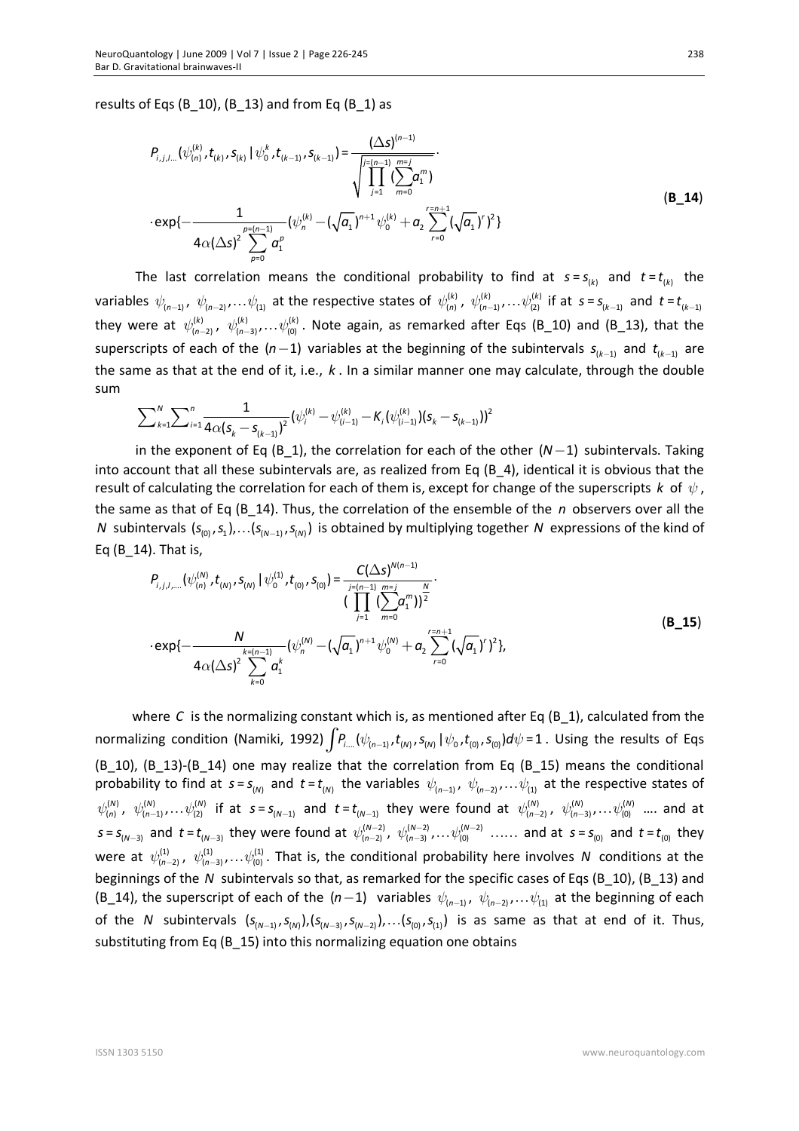results of Eqs (B\_10), (B\_13) and from Eq (B\_1) as

$$
P_{i,j,l...}(\psi_{(n)}^{(k)}, t_{(k)}, S_{(k)} | \psi_0^k, t_{(k-1)}, S_{(k-1)}) = \frac{(\Delta s)^{(n-1)}}{\sqrt{\prod_{j=1}^{[n-1]} \sum_{m=0}^{m=j} a_1^m}}
$$
  
\n
$$
\cdot \exp\{-\frac{1}{4\alpha(\Delta s)^2 \sum_{p=0}^{p=(n-1)} a_1^p} (\psi_n^{(k)} - (\sqrt{a_1})^{n+1} \psi_0^{(k)} + a_2 \sum_{r=0}^{r=n+1} (\sqrt{a_1})^r)^2 \}
$$
\n(B\_14)

The last correlation means the conditional probability to find at  $s = s_{(k)}$  and  $t = t_{(k)}$  the variables  $\psi_{(n-1)}$ ,  $\psi_{(n-2)}$ ,... $\psi_{(1)}$  at the respective states of  $\psi_{(n)}^{(k)}$ ,  $\psi_{(n-1)}^{(k)}$ ,... $\psi_{(2)}^{(k)}$  if at  $s$  =  $s_{(k-1)}$  and  $t$  =  $t_{(k-1)}$ they were at  $\psi^{(k)}_{(n-2)}$ ,  $\psi^{(k)}_{(n-3)}$ ,... $\psi^{(k)}_{(0)}$ . Note again, as remarked after Eqs (B\_10) and (B\_13), that the superscripts of each of the  $(n-1)$  variables at the beginning of the subintervals  $s_{(k-1)}$  and  $t_{(k-1)}$  are the same as that at the end of it, i.e., *k* . In a similar manner one may calculate, through the double sum

$$
\sum\nolimits_{k=1}^N\sum\nolimits_{i=1}^n \frac{1}{4\alpha(s_k-s_{(k-1)})^2}(\psi_i^{(k)}-\psi_{(i-1)}^{(k)}-K_{i}(\psi_{(i-1)}^{(k)}) (s_k-s_{(k-1)})^2
$$

in the exponent of Eq (B\_1), the correlation for each of the other  $(N-1)$  subintervals. Taking into account that all these subintervals are, as realized from Eq (B\_4), identical it is obvious that the result of calculating the correlation for each of them is, except for change of the superscripts *k* of  $\psi$ , the same as that of Eq (B\_14). Thus, the correlation of the ensemble of the *n* observers over all the *N* subintervals  $(s_{(0)}, s_1), \ldots (s_{(N-1)}, s_{(N)})$  is obtained by multiplying together *N* expressions of the kind of Eq (B\_14). That is,

$$
P_{i,j,l,\dots}(\psi_{(n)}^{(N)},t_{(N)},S_{(N)}\mid\psi_{0}^{(1)},t_{(0)},S_{(0)}) = \frac{C(\Delta s)^{N(n-1)}}{\prod_{j=1}^{j=(n-1)}\sum_{m=0}^{m=j}a_{1}^{m}\big)^{\frac{N}{2}}} \cdot \exp\{-\frac{N}{4\alpha(\Delta s)^{2}\sum_{k=0}^{k=(n-1)}(\psi_{n}^{(N)}-(\sqrt{a}_{1})^{n+1}\psi_{0}^{(N)}+a_{2}\sum_{r=0}^{r=n+1}(\sqrt{a}_{1})^{r}\}^{2}\},\tag{B_15}
$$

where *C* is the normalizing constant which is, as mentioned after Eq (B\_1), calculated from the normalizing condition (Namiki, 1992)  $\int P_{i...}(\psi_{(n-1)},t_{(N)},s_{(N)}\,|\,\psi_o,t_{(0)},s_{(0)})d\psi$  = 1 . Using the results of Eqs (B\_10), (B\_13)-(B\_14) one may realize that the correlation from Eq (B\_15) means the conditional probability to find at  $s = s_{(N)}$  and  $t = t_{(N)}$  the variables  $\psi_{(n-1)}$ ,  $\psi_{(n-2)}$ ,... $\psi_{(1)}$  at the respective states of  $\psi^{(N)}_{(n)}$ ,  $\psi^{(N)}_{(n-1)},\dots\psi^{(N)}_{(2)}$  if at  $s=s_{(N-1)}$  and  $t=t_{(N-1)}$  they were found at  $\psi^{(N)}_{(n-2)}$ ,  $\psi^{(N)}_{(n-3)},\dots\psi^{(N)}_{(0)}$  .... and at  $s = s_{(N-3)}$  and  $t = t_{(N-3)}$  they were found at  $\psi_{(n-2)}^{(N-2)}$ ,  $\psi_{(n-3)}^{(N-2)}$ , ..., and at  $s = s_{(0)}$  and  $t = t_{(0)}$  they were at  $\psi^{(1)}_{(n-2)}$ ,  $\psi^{(1)}_{(n-3)}$ ,... $\psi^{(1)}_{(0)}$ . That is, the conditional probability here involves N conditions at the beginnings of the *N* subintervals so that, as remarked for the specific cases of Eqs (B\_10), (B\_13) and (B\_14), the superscript of each of the  $(n-1)$  variables  $\psi_{(n-1)}$ ,  $\psi_{(n-2)}$ ,... $\psi_{(1)}$  at the beginning of each of the *N* subintervals  $(s_{(N-1)}, s_{(N)})$ ,  $(s_{(N-3)}, s_{(N-2)})$ , ...  $(s_{(0)}, s_{(1)})$  is as same as that at end of it. Thus, substituting from Eq (B 15) into this normalizing equation one obtains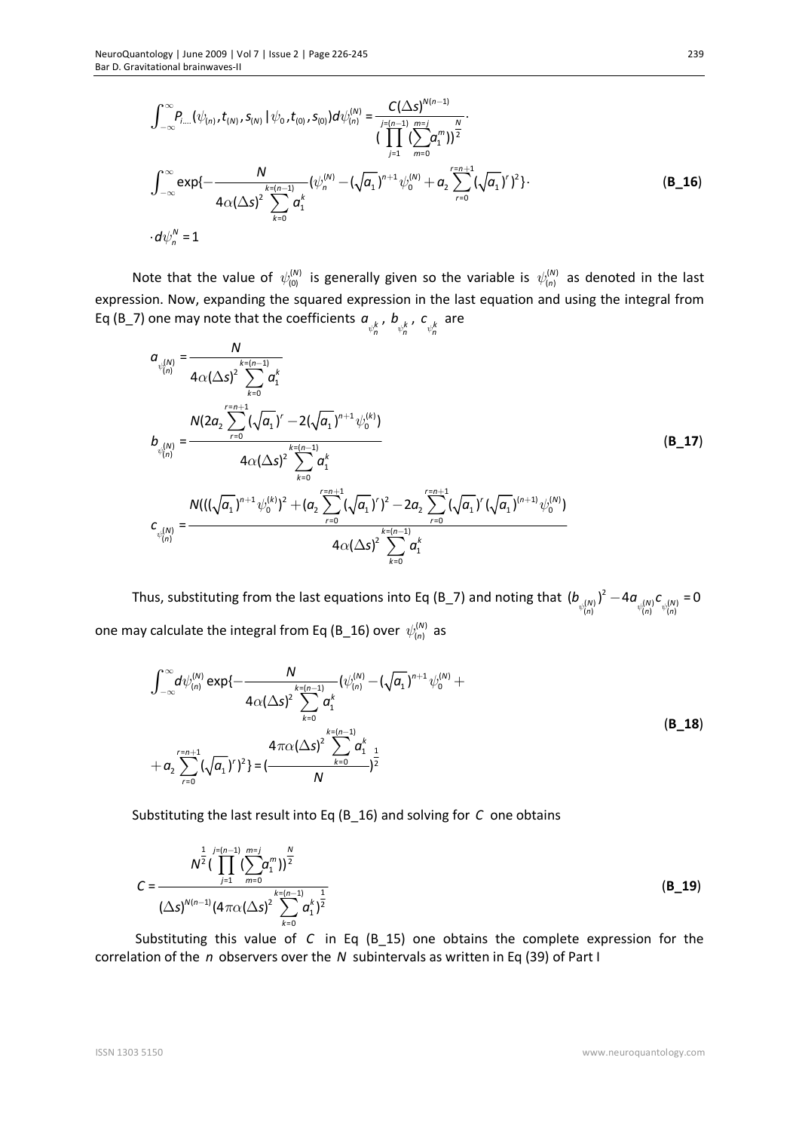$$
\int_{-\infty}^{\infty} P_{i...}(\psi_{(n)}, t_{(N)}, s_{(N)} | \psi_0, t_{(0)}, s_{(0)}) d\psi_{(n)}^{(N)} = \frac{C(\Delta s)^{N(n-1)}}{\prod_{j=1}^{N} (\sum_{m=0}^{N-1} a_1^m)^\frac{N}{2}} \cdot \frac{\prod_{j=0}^{N} (\sum_{m=0}^{N-1} a_1^m)^\frac{N}{2}}{\prod_{j=1}^{N} (\sum_{m=0}^{N-1} a_1^m)^\frac{N}{2}} \cdot \int_{-\infty}^{\infty} \exp\{-\frac{N}{4\alpha(\Delta s)^2} \sum_{k=0}^{k=(n-1)} (\psi_n^{(N)} - (\sqrt{a_1})^{n+1} \psi_0^{(N)} + a_2 \sum_{r=0}^{r=n+1} (\sqrt{a_1})^r)^2 \} \cdot \frac{\prod_{j=0}^{N-1} (\sum_{m=0}^{N-1} a_1^m)^\frac{N}{2}}{\prod_{j=0}^{N} (\sum_{m=0}^{N-1} a_1^m)^\frac{N}{2}} \cdot \frac{\prod_{j=0}^{N-1} (\sum_{m=0}^{N-1} a_1^m)^\frac{N}{2}}{\prod_{j=0}^{N} (\sum_{m=0}^{N-1} a_1^m)^\frac{N}{2}} \cdot \frac{\prod_{j=0}^{N-1} (\sum_{m=0}^{N-1} a_1^m)^\frac{N}{2}}{\prod_{j=0}^{N} (\sum_{m=0}^{N-1} a_1^m)^\frac{N}{2}} \cdot \frac{\prod_{j=0}^{N-1} (\sum_{m=0}^{N-1} a_1^m)^\frac{N}{2}}{\prod_{j=0}^{N} (\sum_{m=0}^{N-1} a_1^m)^\frac{N}{2}} \cdot \frac{\prod_{j=0}^{N-1} (\sum_{m=0}^{N-1} a_1^m)^\frac{N}{2}}{\prod_{j=0}^{N} (\sum_{m=0}^{N-1} a_1^m)^\frac{N}{2}} \cdot \frac{\prod_{j=0}^{N-1} (\sum_{m=0}^{N-1} a_1^m)^\frac{N}{2}}{\prod_{j=0}^{N} (\sum_{m=0}^{N-1} a_1^m)^\frac{N}{2}} \cdot \frac{\prod_{j=0}^{N-1}
$$

Note that the value of  $\psi^{(N)}_{(0)}$  is generally given so the variable is  $\psi^{(N)}_{(n)}$  as denoted in the last expression. Now, expanding the squared expression in the last equation and using the integral from Eq (B\_7) one may note that the coefficients  $a_{\psi^k_n}$ ,  $b_{\psi^k_n}$ ,  $c_{\psi^k_n}$  are

$$
a_{\psi_{(n)}^{(N)}} = \frac{N}{4\alpha(\Delta s)^2 \sum_{k=0}^{k=(n-1)} a_k^k}
$$
  
\n
$$
b_{\psi_{(n)}^{(N)}} = \frac{N(2a_2 \sum_{r=0}^{r=n+1} (\sqrt{a_1})^r - 2(\sqrt{a_1})^{n+1} \psi_0^{(k)})}{4\alpha(\Delta s)^2 \sum_{k=0}^{k=(n-1)} a_k^k}
$$
  
\n
$$
c_{\psi_{(n)}^{(N)}} = \frac{N(((\sqrt{a_1})^{n+1} \psi_0^{(k)})^2 + (a_2 \sum_{r=0}^{r=n+1} (\sqrt{a_1})^r)^2 - 2a_2 \sum_{r=0}^{r=n+1} (\sqrt{a_1})^r (\sqrt{a_1})^{(n+1)} \psi_0^{(N)})}{4\alpha(\Delta s)^2 \sum_{k=0}^{k=(n-1)} a_k^k}
$$
 (B\_17)

Thus, substituting from the last equations into Eq (B\_7) and noting that  $(b_{\psi^{(N)}_{(\eta)}})^2-4a_{\psi^{(N)}_{(\eta)}}c_{\psi^{(N)}_{(\eta)}}=0$  $(b_{\psi^{(N)}_{(n)}})^2 - 4a_{\psi^{(N)}_{(n)}}c_{\psi^{(N)}_{(n)}}$ one may calculate the integral from Eq (B\_16) over  $\,\psi_{(n)}^{(N)}\,$  as

$$
\int_{-\infty}^{\infty} d\psi_{(n)}^{(N)} \exp\{-\frac{N}{4\alpha(\Delta s)^2} \sum_{k=0}^{k=(n-1)} (\psi_{(n)}^{(N)} - (\sqrt{a_1})^{n+1} \psi_0^{(N)} + 4\alpha(\Delta s)^2 \sum_{k=0}^{k=(n-1)} a_1^k + a_2 \sum_{r=0}^{n+1} (\sqrt{a_1})^r \}^2\} = \left(\frac{4\pi\alpha(\Delta s)^2 \sum_{k=0}^{k=(n-1)} a_1^k}{N}\right)^{\frac{1}{2}}
$$
\n(B\_18)

Substituting the last result into Eq (B\_16) and solving for *C* one obtains

$$
C = \frac{N^{\frac{1}{2}} \left( \prod_{j=1}^{j=(n-1)} \left( \sum_{m=0}^{m=j} a_1^m \right) \right)^{\frac{N}{2}}}{\left( \Delta s \right)^{N(n-1)} \left( 4 \pi \alpha (\Delta s)^2 \sum_{k=0}^{k=(n-1)} a_1^k \right)^{\frac{1}{2}}}
$$
(B\_19)

Substituting this value of *C* in Eq (B\_15) one obtains the complete expression for the correlation of the *n* observers over the *N* subintervals as written in Eq (39) of Part I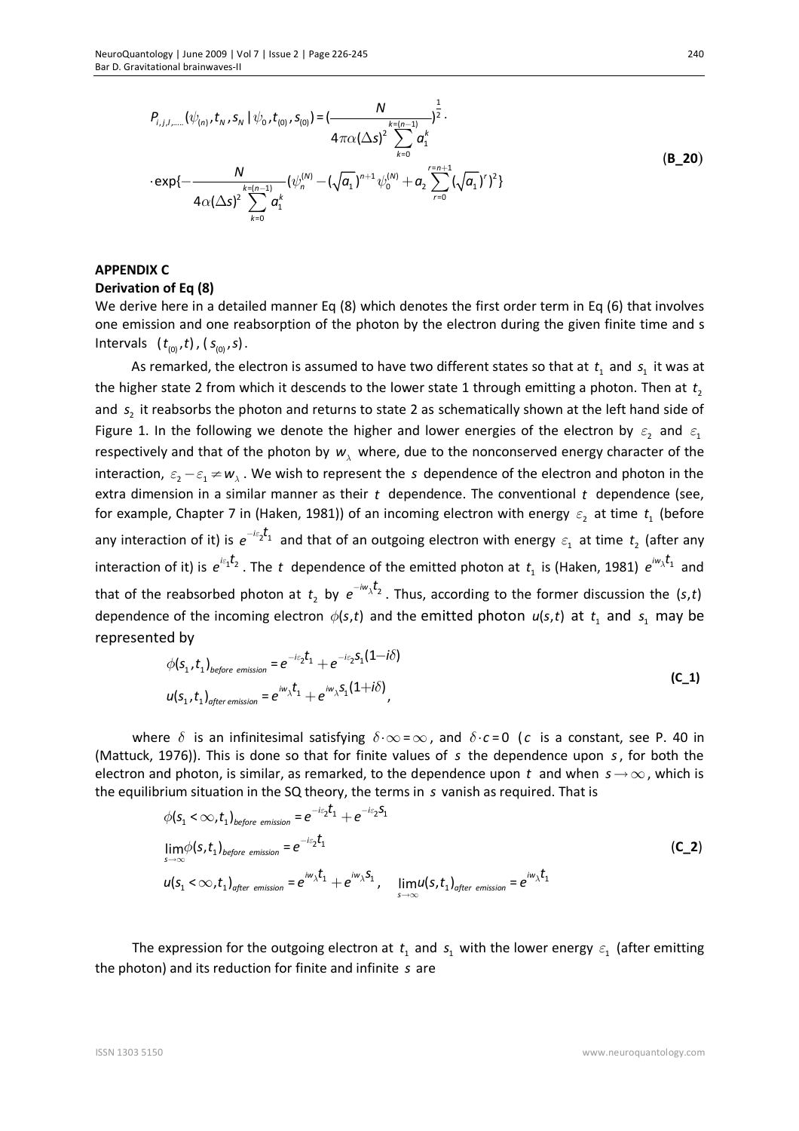$$
P_{i,j,l,\dots}(\psi_{(n)},t_N,s_N \mid \psi_0,t_{(0)},s_{(0)}) = \left(\frac{N}{4\pi\alpha(\Delta s)^2 \sum_{k=0}^{k=(n-1)} \alpha_1^k}\right)^{\frac{1}{2}} \cdot \frac{4\pi\alpha(\Delta s)^2 \sum_{k=0}^{k=(n-1)} \alpha_1^k}{4\pi\alpha(\Delta s)^2 \sum_{k=0}^{k=(n-1)} (\psi_n^{(N)} - (\sqrt{a_1})^{n+1}\psi_0^{(N)} + a_2 \sum_{r=0}^{r=n+1} (\sqrt{a_1})^r)^2}
$$
\n(B\_20)

## **APPENDIX C**

#### **Derivation of Eq (8)**

We derive here in a detailed manner Eq (8) which denotes the first order term in Eq (6) that involves one emission and one reabsorption of the photon by the electron during the given finite time and s Intervals  $(t_{(0)}, t)$ ,  $(s_{(0)}, s)$ .

As remarked, the electron is assumed to have two different states so that at  $t_1$  and  $s_1$  it was at the higher state 2 from which it descends to the lower state 1 through emitting a photon. Then at  $t_{2}$ and <sup>2</sup> *s* it reabsorbs the photon and returns to state 2 as schematically shown at the left hand side of Figure 1. In the following we denote the higher and lower energies of the electron by  $\varepsilon_2^2$  and  $\varepsilon_1^2$ respectively and that of the photon by  $w_{\lambda}$  where, due to the nonconserved energy character of the interaction,  $\varepsilon^2 - \varepsilon^2 \neq w^2$ . We wish to represent the *s* dependence of the electron and photon in the extra dimension in a similar manner as their *t* dependence. The conventional *t* dependence (see, for example, Chapter 7 in (Haken, 1981)) of an incoming electron with energy  $\varepsilon$ <sub>2</sub> at time  $t$ <sub>1</sub> (before any interaction of it) is  $e^{-i\varepsilon_2 t_1}$  and that of an outgoing electron with energy  $\varepsilon_1$  at time  $t_2$  (after any interaction of it) is  $e^{i\epsilon_1 t_2}$ . The t dependence of the emitted photon at  $t_1$  is (Haken, 1981)  $e^{i\omega_\lambda t_1}$  and that of the reabsorbed photon at  $t_2$  by  $e^{-i\omega_{\lambda} t_2}$ . Thus, according to the former discussion the  $(s,t)$ dependence of the incoming electron  $\phi(s,t)$  and the emitted photon  $u(s,t)$  at  $t_1$  and  $s_1$  may be represented by

$$
\phi(s_1, t_1)_{before\ emission} = e^{-i\varepsilon_2 t_1} + e^{-i\varepsilon_2 s_1 (1 - i\delta)}
$$
  
 
$$
u(s_1, t_1)_{after\ emission} = e^{i\omega_\lambda t_1} + e^{i\omega_\lambda s_1 (1 + i\delta)},
$$
 (C\_1)

where  $\delta$  is an infinitesimal satisfying  $\delta \cdot \infty = \infty$ , and  $\delta \cdot c = 0$  (c is a constant, see P. 40 in (Mattuck, 1976)). This is done so that for finite values of *s* the dependence upon *s*, for both the electron and photon, is similar, as remarked, to the dependence upon t and when  $s \rightarrow \infty$ , which is the equilibrium situation in the SQ theory, the terms in *s* vanish as required. That is

$$
\phi(s_1 < \infty, t_1)_{before \ emission} = e^{-i\varepsilon_2 t_1} + e^{-i\varepsilon_2 s_1}
$$
\n
$$
\lim_{s \to \infty} \phi(s, t_1)_{before \ emission} = e^{-i\varepsilon_2 t_1}
$$
\n
$$
u(s_1 < \infty, t_1)_{after \ emission} = e^{i\omega_\lambda t_1} + e^{i\omega_\lambda s_1}, \quad \lim_{s \to \infty} u(s, t_1)_{after \ emission} = e^{i\omega_\lambda t_1}
$$
\n(C\_2)

The expression for the outgoing electron at  $t_1$  and  $s_1$  with the lower energy  $\varepsilon_1$  (after emitting the photon) and its reduction for finite and infinite *s* are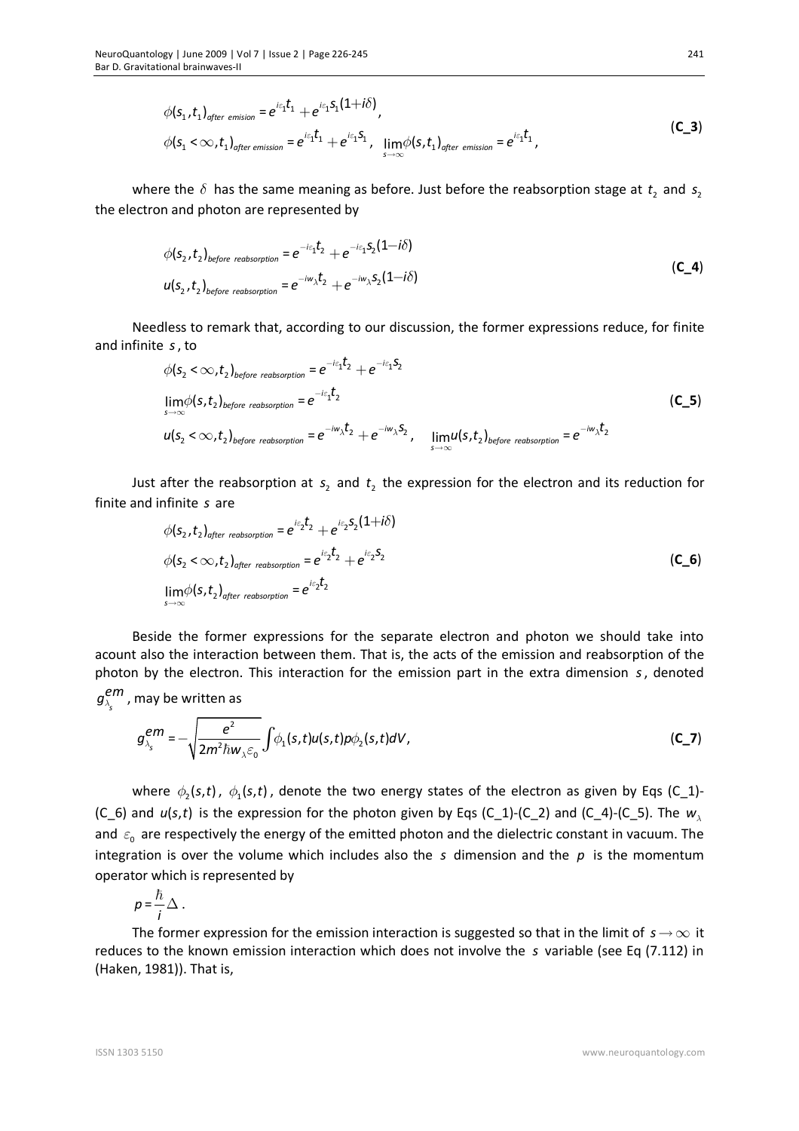$$
\phi(s_1, t_1)_{after\text{ emission}} = e^{i\epsilon_1 t_1} + e^{i\epsilon_1 s_1 (1+i\delta)},
$$
\n
$$
\phi(s_1 < \infty, t_1)_{after\text{ emission}} = e^{i\epsilon_1 t_1} + e^{i\epsilon_1 s_1}, \quad \lim_{s \to \infty} \phi(s, t_1)_{after\text{ emission}} = e^{i\epsilon_1 t_1},
$$
\n(C\_3)

where the  $\delta$  has the same meaning as before. Just before the reabsorption stage at  $t_2$  and  $s_2$ the electron and photon are represented by

$$
\phi(s_2, t_2)_{before\ reabsorption} = e^{-i\varepsilon_1 t_2} + e^{-i\varepsilon_1 s_2 (1 - i\delta)}
$$
  

$$
u(s_2, t_2)_{before\ reabsorption} = e^{-i\omega_\lambda t_2} + e^{-i\omega_\lambda s_2 (1 - i\delta)}
$$
 (C\_4)

Needless to remark that, according to our discussion, the former expressions reduce, for finite and infinite *s*, to

$$
\phi(s_2 < \infty, t_2)_{before\;reabsorption} = e^{-i\varepsilon_1 t_2} + e^{-i\varepsilon_1 s_2}
$$
\n
$$
\lim_{s \to \infty} \phi(s, t_2)_{before\;reabsorption} = e^{-i\varepsilon_1 t_2}
$$
\n
$$
u(s_2 < \infty, t_2)_{before\;reabsorption} = e^{-iw_\lambda t_2} + e^{-iw_\lambda s_2}, \quad \lim_{s \to \infty} u(s, t_2)_{before\;reabsorption} = e^{-iw_\lambda t_2}
$$
\n(C\_5)

Just after the reabsorption at  $s_2$  and  $t_2$  the expression for the electron and its reduction for finite and infinite *s* are

$$
\phi(s_2, t_2)_{after\ reabsorption} = e^{i\varepsilon_2 t_2} + e^{i\varepsilon_2 s_2 (1+i\delta)}
$$
  
\n
$$
\phi(s_2 < \infty, t_2)_{after\ reabsorption} = e^{i\varepsilon_2 t_2} + e^{i\varepsilon_2 s_2}
$$
  
\n
$$
\lim_{s \to \infty} \phi(s, t_2)_{after\ reabsorption} = e^{i\varepsilon_2 t_2}
$$
\n(C\_6)

Beside the former expressions for the separate electron and photon we should take into acount also the interaction between them. That is, the acts of the emission and reabsorption of the photon by the electron. This interaction for the emission part in the extra dimension *s*, denoted

$$
g_{\lambda_s}^{em}
$$
, may be written as  

$$
g_{\lambda_s}^{em} = -\sqrt{\frac{e^2}{2m^2\hbar w_{\lambda}\epsilon_0}} \int \phi_1(s,t)u(s,t)p\phi_2(s,t)dV,
$$
 (C\_7)

where  $\phi_2(s,t)$ ,  $\phi_1(s,t)$ , denote the two energy states of the electron as given by Eqs (C\_1)-(C\_6) and  $u(s,t)$  is the expression for the photon given by Eqs (C\_1)-(C\_2) and (C\_4)-(C\_5). The  $w_\lambda$ and  $\varepsilon_{0}$  are respectively the energy of the emitted photon and the dielectric constant in vacuum. The integration is over the volume which includes also the *s* dimension and the *p* is the momentum operator which is represented by

$$
p=\frac{\hbar}{i}\Delta.
$$

The former expression for the emission interaction is suggested so that in the limit of  $s \to \infty$  it reduces to the known emission interaction which does not involve the *s* variable (see Eq (7.112) in (Haken, 1981)). That is,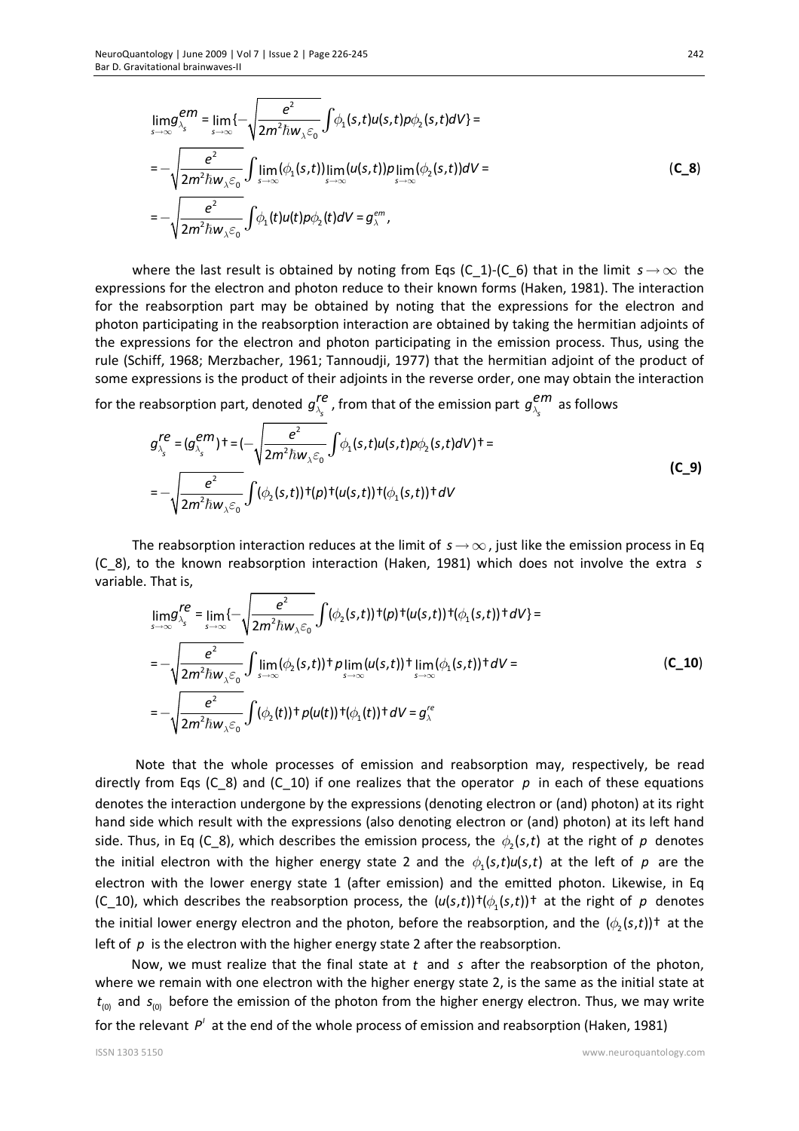$$
\lim_{s \to \infty} g_{\lambda_s}^{em} = \lim_{s \to \infty} \{-\sqrt{\frac{e^2}{2m^2 \hbar w_{\lambda} \varepsilon_0}} \int \phi_1(s,t) u(s,t) \rho \phi_2(s,t) dV\} =
$$
\n
$$
= -\sqrt{\frac{e^2}{2m^2 \hbar w_{\lambda} \varepsilon_0}} \int \lim_{s \to \infty} (\phi_1(s,t)) \lim_{s \to \infty} (u(s,t)) p \lim_{s \to \infty} (\phi_2(s,t)) dV =
$$
\n
$$
= -\sqrt{\frac{e^2}{2m^2 \hbar w_{\lambda} \varepsilon_0}} \int \phi_1(t) u(t) \rho \phi_2(t) dV = g_{\lambda}^{em},
$$
\n(C\_8)

where the last result is obtained by noting from Eqs (C\_1)-(C\_6) that in the limit  $s \to \infty$  the expressions for the electron and photon reduce to their known forms (Haken, 1981). The interaction for the reabsorption part may be obtained by noting that the expressions for the electron and photon participating in the reabsorption interaction are obtained by taking the hermitian adjoints of the expressions for the electron and photon participating in the emission process. Thus, using the rule (Schiff, 1968; Merzbacher, 1961; Tannoudji, 1977) that the hermitian adjoint of the product of some expressions is the product of their adjoints in the reverse order, one may obtain the interaction

for the reabsorption part, denoted  $g_{_{\lambda_{\text{s}}}}^{\textit{re}}$  , from that of the emission part  $g_{_{\lambda_{\text{s}}}}^{\textit{em}}$  as follows

$$
g_{\lambda_s}^{re} = (g_{\lambda_s}^{em})^+ = (-\sqrt{\frac{e^2}{2m^2\hbar w_{\lambda}\epsilon_0}}\int \phi_1(s,t)u(s,t)\rho\phi_2(s,t)dV)^+ =
$$
\n
$$
= -\sqrt{\frac{e^2}{2m^2\hbar w_{\lambda}\epsilon_0}}\int (\phi_2(s,t))^+(p)^+(u(s,t))^+(\phi_1(s,t))^+dV
$$
\n(C\_9)

The reabsorption interaction reduces at the limit of  $s \rightarrow \infty$ , just like the emission process in Eq (C\_8), to the known reabsorption interaction (Haken, 1981) which does not involve the extra *s* variable. That is,

$$
\lim_{s \to \infty} g_{\lambda_s}^{re} = \lim_{s \to \infty} \{-\sqrt{\frac{e^2}{2m^2 \hbar w_{\lambda} \varepsilon_0}} \int (\phi_2(s,t)) \cdot f(p) + (u(s,t)) \cdot (\phi_1(s,t)) + dV\} =
$$
\n
$$
= -\sqrt{\frac{e^2}{2m^2 \hbar w_{\lambda} \varepsilon_0}} \int \lim_{s \to \infty} (\phi_2(s,t)) + p \lim_{s \to \infty} (u(s,t)) + \lim_{s \to \infty} (\phi_1(s,t)) + dV =
$$
\n
$$
= -\sqrt{\frac{e^2}{2m^2 \hbar w_{\lambda} \varepsilon_0}} \int (\phi_2(t)) + p(u(t)) + (\phi_1(t)) + dV = g_{\lambda}^{re}
$$
\n(C\_10)

Note that the whole processes of emission and reabsorption may, respectively, be read directly from Eqs (C\_8) and (C\_10) if one realizes that the operator *p* in each of these equations denotes the interaction undergone by the expressions (denoting electron or (and) photon) at its right hand side which result with the expressions (also denoting electron or (and) photon) at its left hand side. Thus, in Eq (C\_8), which describes the emission process, the  $\phi_2$ (s,t) at the right of p denotes the initial electron with the higher energy state 2 and the  $\phi_1(s,t)u(s,t)$  at the left of p are the electron with the lower energy state 1 (after emission) and the emitted photon. Likewise, in Eq (C\_10), which describes the reabsorption process, the  $(u(s,t))\dagger(\phi_1(s,t))\dagger$  at the right of  $p$  denotes the initial lower energy electron and the photon, before the reabsorption, and the  $(\phi_2(s,t))^+$  at the left of *p* is the electron with the higher energy state 2 after the reabsorption.

Now, we must realize that the final state at *t* and *s* after the reabsorption of the photon, where we remain with one electron with the higher energy state 2, is the same as the initial state at  $t_{\text{(0)}}$  and  $s_{\text{(0)}}$  before the emission of the photon from the higher energy electron. Thus, we may write for the relevant  $P'$  at the end of the whole process of emission and reabsorption (Haken, 1981)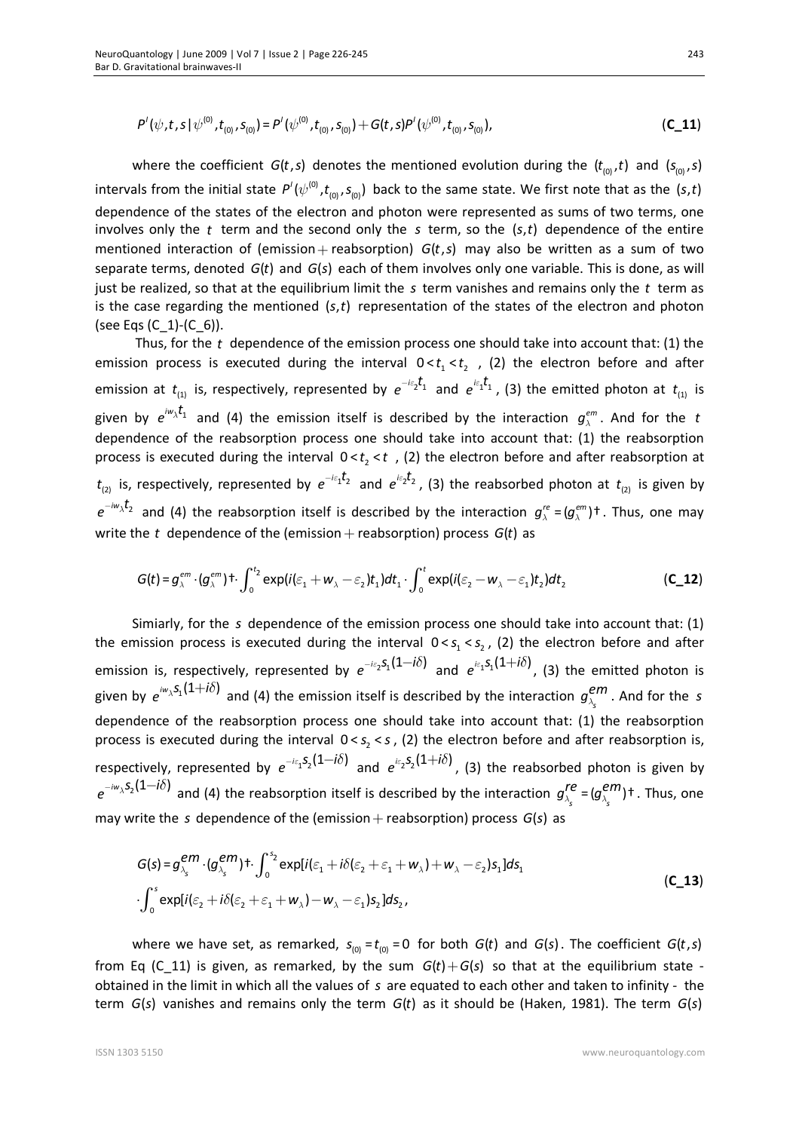$$
P'(\psi, t, s | \psi^{(0)}, t_{(0)}, s_{(0)}) = P'(\psi^{(0)}, t_{(0)}, s_{(0)}) + G(t, s)P'(\psi^{(0)}, t_{(0)}, s_{(0)}),
$$
\n(C\_11)

where the coefficient  $G(t, s)$  denotes the mentioned evolution during the  $(t_{(0)}, t)$  and  $(s_{(0)}, s)$ intervals from the initial state  $P'(\psi^{(0)},t_{(0)},s_{(0)})$  back to the same state. We first note that as the (s,t) dependence of the states of the electron and photon were represented as sums of two terms, one involves only the t term and the second only the s term, so the  $(s,t)$  dependence of the entire mentioned interaction of (emission + reabsorption)  $G(t,s)$  may also be written as a sum of two separate terms, denoted *G*(*t*) and *G*(*s*) each of them involves only one variable. This is done, as will just be realized, so that at the equilibrium limit the *s* term vanishes and remains only the *t* term as is the case regarding the mentioned (s,t) representation of the states of the electron and photon (see Eqs (C  $1)-(C_6)$ ).

 Thus, for the *t* dependence of the emission process one should take into account that: (1) the emission process is executed during the interval  $0 < t<sub>1</sub> < t<sub>2</sub>$ , (2) the electron before and after emission at  $t_{_{(1)}}$  is, respectively, represented by  $e^{-i\varepsilon_2\hat{t}_1}$  and  $e^{i\varepsilon_1\hat{t}_1}$ , (3) the emitted photon at  $t_{_{(1)}}$  is given by  $e^{i\omega_\lambda t_1}$  and (4) the emission itself is described by the interaction  $g_\lambda^{em}$ . And for the  $t$ dependence of the reabsorption process one should take into account that: (1) the reabsorption process is executed during the interval  $0 < t_2 < t$  , (2) the electron before and after reabsorption at  $t_{_{(2)}}$  is, respectively, represented by  $e^{-i\varepsilon_1 t_2}$  and  $e^{i\varepsilon_2 t_2}$ , (3) the reabsorbed photon at  $t_{_{(2)}}$  is given by  $e^{-i\omega_\lambda t_2}$  and (4) the reabsorption itself is described by the interaction  $g_\lambda^{re}$  =( $g_\lambda^{em}$ )† . Thus, one may write the  $t$  dependence of the (emission  $+$  reabsorption) process  $G(t)$  as

$$
G(t) = g_{\lambda}^{em} \cdot (g_{\lambda}^{em})^{\dagger} \cdot \int_{0}^{t_{2}} \exp(i(\varepsilon_{1} + w_{\lambda} - \varepsilon_{2})t_{1})dt_{1} \cdot \int_{0}^{t} \exp(i(\varepsilon_{2} - w_{\lambda} - \varepsilon_{1})t_{2})dt_{2}
$$
 (C\_12)

Simiarly, for the *s* dependence of the emission process one should take into account that: (1) the emission process is executed during the interval  $0 < s<sub>1</sub> < s<sub>2</sub>$ , (2) the electron before and after emission is, respectively, represented by  $e^{-i\varepsilon_2 S_1(1-i\delta)}$  and  $e^{i\varepsilon_1 S_1(1+i\delta)}$ , (3) the emitted photon is given by  $e^{i\omega_\lambda S_1(1+i\delta)}$  and (4) the emission itself is described by the interaction  $g^{em}_{\lambda_s}$  . And for the *s* dependence of the reabsorption process one should take into account that: (1) the reabsorption process is executed during the interval  $0 < s<sub>2</sub> < s$ , (2) the electron before and after reabsorption is, respectively, represented by  $e^{-i\varepsilon_1 S_2(1-i\delta)}$  and  $e^{i\varepsilon_2 S_2(1+i\delta)}$ , (3) the reabsorbed photon is given by  $e^{-i\omega_\lambda S_2(1-i\delta)}$  and (4) the reabsorption itself is described by the interaction  $g_{\lambda_s}^{re}$  =  $(g_{\lambda_s}^{em})$ +. Thus, one may write the *s* dependence of the (emission + reabsorption) process *G*(*s*) as

$$
G(s) = g_{\lambda_s}^{em} \cdot (g_{\lambda_s}^{em})^+ \cdot \int_0^{s_2} \exp[i(\varepsilon_1 + i\delta(\varepsilon_2 + \varepsilon_1 + w_\lambda) + w_\lambda - \varepsilon_2)s_1] ds_1
$$
  
\n
$$
\cdot \int_0^s \exp[i(\varepsilon_2 + i\delta(\varepsilon_2 + \varepsilon_1 + w_\lambda) - w_\lambda - \varepsilon_1)s_2] ds_2,
$$
\n(C\_13)

where we have set, as remarked,  $s_{(0)} = t_{(0)} = 0$  for both  $G(t)$  and  $G(s)$ . The coefficient  $G(t, s)$ from Eq (C\_11) is given, as remarked, by the sum  $G(t) + G(s)$  so that at the equilibrium state obtained in the limit in which all the values of *s* are equated to each other and taken to infinity - the term *G*(*s*) vanishes and remains only the term *G*(*t*) as it should be (Haken, 1981). The term *G*(*s*)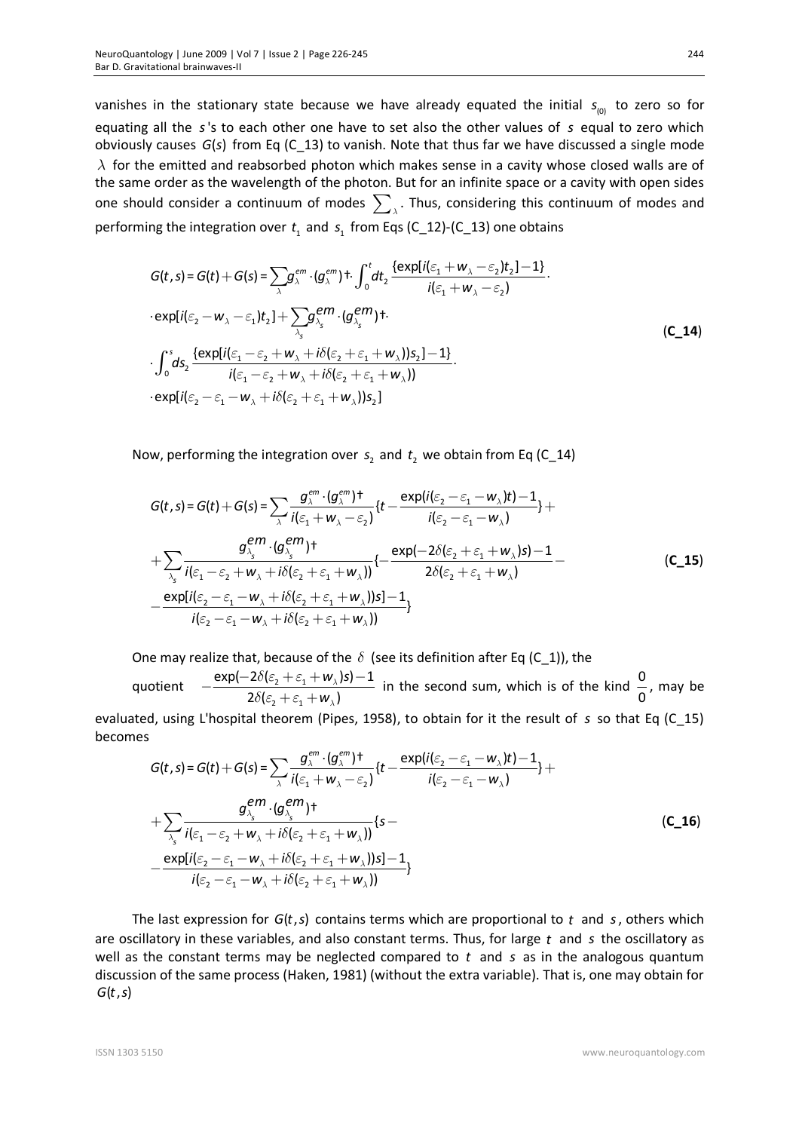vanishes in the stationary state because we have already equated the initial  $s_{\text{0}}$  to zero so for equating all the *s*'s to each other one have to set also the other values of *s* equal to zero which obviously causes *G(s)* from Eq (C 13) to vanish. Note that thus far we have discussed a single mode  $\lambda$  for the emitted and reabsorbed photon which makes sense in a cavity whose closed walls are of the same order as the wavelength of the photon. But for an infinite space or a cavity with open sides one should consider a continuum of modes  $\sum_{\lambda}$ . Thus, considering this continuum of modes and performing the integration over  $t_1$  and  $s_1$  from Eqs (C\_12)-(C\_13) one obtains

$$
G(t,s) = G(t) + G(s) = \sum_{\lambda} g_{\lambda}^{em} \cdot (g_{\lambda}^{em}) + \int_{0}^{t} dt_{2} \frac{\{\exp[i(\varepsilon_{1} + w_{\lambda} - \varepsilon_{2})t_{2}] - 1\}}{i(\varepsilon_{1} + w_{\lambda} - \varepsilon_{2})}.
$$
  
\n
$$
\cdot \exp[i(\varepsilon_{2} - w_{\lambda} - \varepsilon_{1})t_{2}] + \sum_{\lambda_{s}} g_{\lambda_{s}}^{em} \cdot (g_{\lambda_{s}}^{em}) +
$$
  
\n
$$
\cdot \int_{0}^{s} ds_{2} \frac{\{\exp[i(\varepsilon_{1} - \varepsilon_{2} + w_{\lambda} + i\delta(\varepsilon_{2} + \varepsilon_{1} + w_{\lambda}))s_{2}] - 1\}}{i(\varepsilon_{1} - \varepsilon_{2} + w_{\lambda} + i\delta(\varepsilon_{2} + \varepsilon_{1} + w_{\lambda}))}.
$$
  
\n
$$
\cdot \exp[i(\varepsilon_{2} - \varepsilon_{1} - w_{\lambda} + i\delta(\varepsilon_{2} + \varepsilon_{1} + w_{\lambda}))s_{2}]
$$
 (C\_14)

Now, performing the integration over  $s<sub>2</sub>$  and  $t<sub>2</sub>$  we obtain from Eq (C\_14)

$$
G(t,s) = G(t) + G(s) = \sum_{\lambda} \frac{g_{\lambda}^{em} \cdot (g_{\lambda}^{em})^{\dagger}}{i(\varepsilon_{1} + w_{\lambda} - \varepsilon_{2})} \{t - \frac{\exp(i(\varepsilon_{2} - \varepsilon_{1} - w_{\lambda})t) - 1}{i(\varepsilon_{2} - \varepsilon_{1} - w_{\lambda})}\} + \sum_{\lambda_{s} \atop{\lambda_{s}} \frac{g_{\lambda_{s}}^{em} \cdot (g_{\lambda_{s}}^{em})^{\dagger}}{i(\varepsilon_{1} - \varepsilon_{2} + w_{\lambda} + i\delta(\varepsilon_{2} + \varepsilon_{1} + w_{\lambda}))} \{- \frac{\exp(-2\delta(\varepsilon_{2} + \varepsilon_{1} + w_{\lambda})s) - 1}{2\delta(\varepsilon_{2} + \varepsilon_{1} + w_{\lambda})} - \frac{\exp[i(\varepsilon_{2} - \varepsilon_{1} - w_{\lambda} + i\delta(\varepsilon_{2} + \varepsilon_{1} + w_{\lambda}))s] - 1}{i(\varepsilon_{2} - \varepsilon_{1} - w_{\lambda} + i\delta(\varepsilon_{2} + \varepsilon_{1} + w_{\lambda}))} \}
$$
(C\_15)

One may realize that, because of the  $\delta$  (see its definition after Eq (C\_1)), the

quotient 2  $^{1}$   $^{0}$  1 2  $^{1}$   $^{0}$  1  $\exp(-2\delta(\varepsilon^2 + \varepsilon^2 + w^2))s) - 1$  $2\delta(\varepsilon_2 + \varepsilon_1 + \mathbf{w}_\lambda)$ *w s w*  $\lambda$  $\lambda$  $\delta(\varepsilon^{}_{2}+\varepsilon$  $\delta(\varepsilon^{}_{\!2} + \varepsilon$  $-\frac{\exp(-2\delta(\varepsilon_2+\varepsilon_1+w_1)s)-}{}$  $+\varepsilon$ <sub>1</sub> + in the second sum, which is of the kind  $\frac{0}{2}$ 0 , may be evaluated, using L'hospital theorem (Pipes, 1958), to obtain for it the result of *s* so that Eq (C\_15) becomes

$$
G(t,s) = G(t) + G(s) = \sum_{\lambda} \frac{g_{\lambda}^{em} \cdot (g_{\lambda}^{em})^{\dagger}}{i(\varepsilon_{1} + w_{\lambda} - \varepsilon_{2})} \{t - \frac{\exp(i(\varepsilon_{2} - \varepsilon_{1} - w_{\lambda})t) - 1}{i(\varepsilon_{2} - \varepsilon_{1} - w_{\lambda})}\} + \sum_{\lambda_{s} \atop{\lambda_{s}} \frac{g_{\lambda_{s}}^{em} \cdot (g_{\lambda_{s}}^{em})^{\dagger}}{i(\varepsilon_{1} - \varepsilon_{2} + w_{\lambda} + i\delta(\varepsilon_{2} + \varepsilon_{1} + w_{\lambda}))} \{s - \frac{\exp[i(\varepsilon_{2} - \varepsilon_{1} - w_{\lambda} + i\delta(\varepsilon_{2} + \varepsilon_{1} + w_{\lambda}))s] - 1}{i(\varepsilon_{2} - \varepsilon_{1} - w_{\lambda} + i\delta(\varepsilon_{2} + \varepsilon_{1} + w_{\lambda}))}\}
$$
(C\_16)

The last expression for  $G(t, s)$  contains terms which are proportional to  $t$  and  $s$ , others which are oscillatory in these variables, and also constant terms. Thus, for large *t* and *s* the oscillatory as well as the constant terms may be neglected compared to *t* and *s* as in the analogous quantum discussion of the same process (Haken, 1981) (without the extra variable). That is, one may obtain for  $G(t, s)$